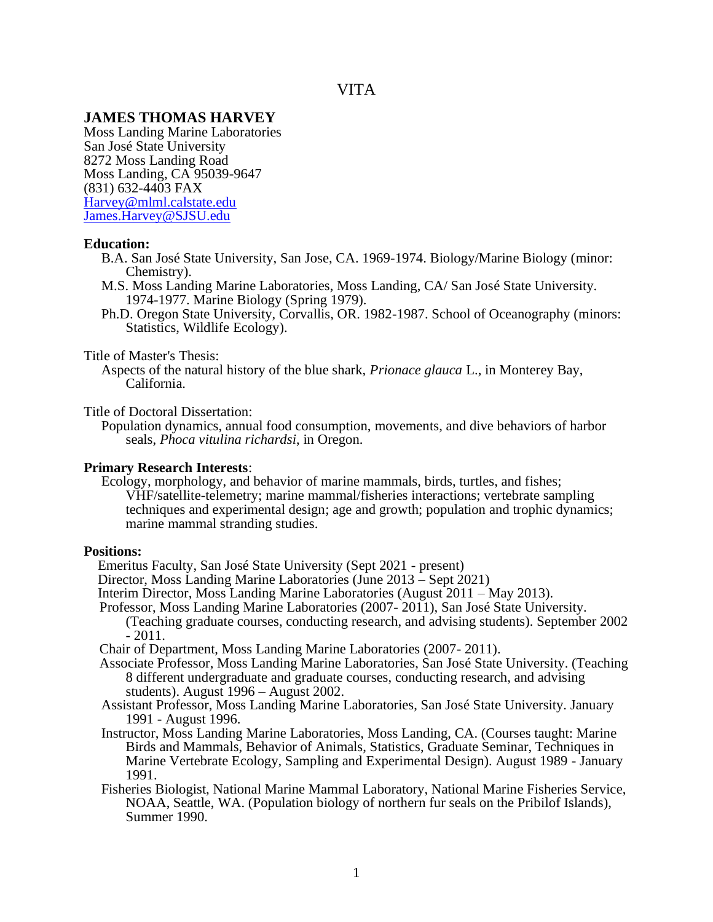# **JAMES THOMAS HARVEY**

Moss Landing Marine Laboratories San José State University 8272 Moss Landing Road Moss Landing, CA 95039-9647 (831) 632-4403 FAX [Harvey@mlml.calstate.edu](mailto:Harvey@mlml.calstate.edu) [James.Harvey@SJSU.edu](mailto:James.Harvey@SJSU.edu)

### **Education:**

- B.A. San José State University, San Jose, CA. 1969-1974. Biology/Marine Biology (minor: Chemistry).
- M.S. Moss Landing Marine Laboratories, Moss Landing, CA/ San José State University. 1974-1977. Marine Biology (Spring 1979).
- Ph.D. Oregon State University, Corvallis, OR. 1982-1987. School of Oceanography (minors: Statistics, Wildlife Ecology).

### Title of Master's Thesis:

 Aspects of the natural history of the blue shark, *Prionace glauca* L., in Monterey Bay, California.

Title of Doctoral Dissertation:

 Population dynamics, annual food consumption, movements, and dive behaviors of harbor seals, *Phoca vitulina richardsi*, in Oregon.

### **Primary Research Interests**:

 Ecology, morphology, and behavior of marine mammals, birds, turtles, and fishes; VHF/satellite-telemetry; marine mammal/fisheries interactions; vertebrate sampling techniques and experimental design; age and growth; population and trophic dynamics; marine mammal stranding studies.

### **Positions:**

Emeritus Faculty, San José State University (Sept 2021 - present)

- Director, Moss Landing Marine Laboratories (June 2013 Sept 2021)
- Interim Director, Moss Landing Marine Laboratories (August 2011 May 2013).
- Professor, Moss Landing Marine Laboratories (2007- 2011), San José State University. (Teaching graduate courses, conducting research, and advising students). September 2002 - 2011.

Chair of Department, Moss Landing Marine Laboratories (2007- 2011).

- Associate Professor, Moss Landing Marine Laboratories, San José State University. (Teaching 8 different undergraduate and graduate courses, conducting research, and advising students). August 1996 – August 2002.
- Assistant Professor, Moss Landing Marine Laboratories, San José State University. January 1991 - August 1996.
- Instructor, Moss Landing Marine Laboratories, Moss Landing, CA. (Courses taught: Marine Birds and Mammals, Behavior of Animals, Statistics, Graduate Seminar, Techniques in Marine Vertebrate Ecology, Sampling and Experimental Design). August 1989 - January 1991.
- Fisheries Biologist, National Marine Mammal Laboratory, National Marine Fisheries Service, NOAA, Seattle, WA. (Population biology of northern fur seals on the Pribilof Islands), Summer 1990.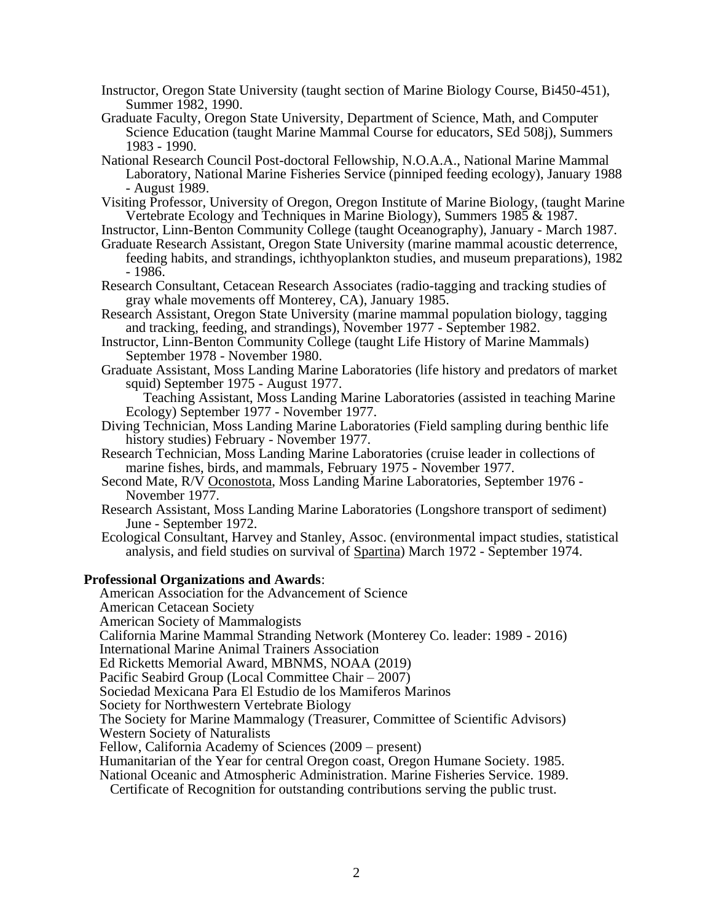- Instructor, Oregon State University (taught section of Marine Biology Course, Bi450-451), Summer 1982, 1990.
- Graduate Faculty, Oregon State University, Department of Science, Math, and Computer Science Education (taught Marine Mammal Course for educators, SEd 508j), Summers 1983 - 1990.
- National Research Council Post-doctoral Fellowship, N.O.A.A., National Marine Mammal Laboratory, National Marine Fisheries Service (pinniped feeding ecology), January 1988 - August 1989.
- Visiting Professor, University of Oregon, Oregon Institute of Marine Biology, (taught Marine Vertebrate Ecology and Techniques in Marine Biology), Summers 1985 & 1987.
- Instructor, Linn-Benton Community College (taught Oceanography), January March 1987.
- Graduate Research Assistant, Oregon State University (marine mammal acoustic deterrence, feeding habits, and strandings, ichthyoplankton studies, and museum preparations), 1982 - 1986.
- Research Consultant, Cetacean Research Associates (radio-tagging and tracking studies of gray whale movements off Monterey, CA), January 1985.
- Research Assistant, Oregon State University (marine mammal population biology, tagging and tracking, feeding, and strandings), November 1977 - September 1982.
- Instructor, Linn-Benton Community College (taught Life History of Marine Mammals) September 1978 - November 1980.
- Graduate Assistant, Moss Landing Marine Laboratories (life history and predators of market squid) September 1975 - August 1977.

 Teaching Assistant, Moss Landing Marine Laboratories (assisted in teaching Marine Ecology) September 1977 - November 1977.

- Diving Technician, Moss Landing Marine Laboratories (Field sampling during benthic life history studies) February - November 1977.
- Research Technician, Moss Landing Marine Laboratories (cruise leader in collections of marine fishes, birds, and mammals, February 1975 - November 1977.
- Second Mate, R/V Oconostota, Moss Landing Marine Laboratories, September 1976 November 1977.
- Research Assistant, Moss Landing Marine Laboratories (Longshore transport of sediment) June - September 1972.
- Ecological Consultant, Harvey and Stanley, Assoc. (environmental impact studies, statistical analysis, and field studies on survival of Spartina) March 1972 - September 1974.

### **Professional Organizations and Awards**:

- American Association for the Advancement of Science American Cetacean Society
- American Society of Mammalogists
- California Marine Mammal Stranding Network (Monterey Co. leader: 1989 2016)
- International Marine Animal Trainers Association
- Ed Ricketts Memorial Award, MBNMS, NOAA (2019)
- Pacific Seabird Group (Local Committee Chair 2007)
- Sociedad Mexicana Para El Estudio de los Mamiferos Marinos
- Society for Northwestern Vertebrate Biology
- The Society for Marine Mammalogy (Treasurer, Committee of Scientific Advisors) Western Society of Naturalists
- Fellow, California Academy of Sciences (2009 present)
- Humanitarian of the Year for central Oregon coast, Oregon Humane Society. 1985.
- National Oceanic and Atmospheric Administration. Marine Fisheries Service. 1989.
	- Certificate of Recognition for outstanding contributions serving the public trust.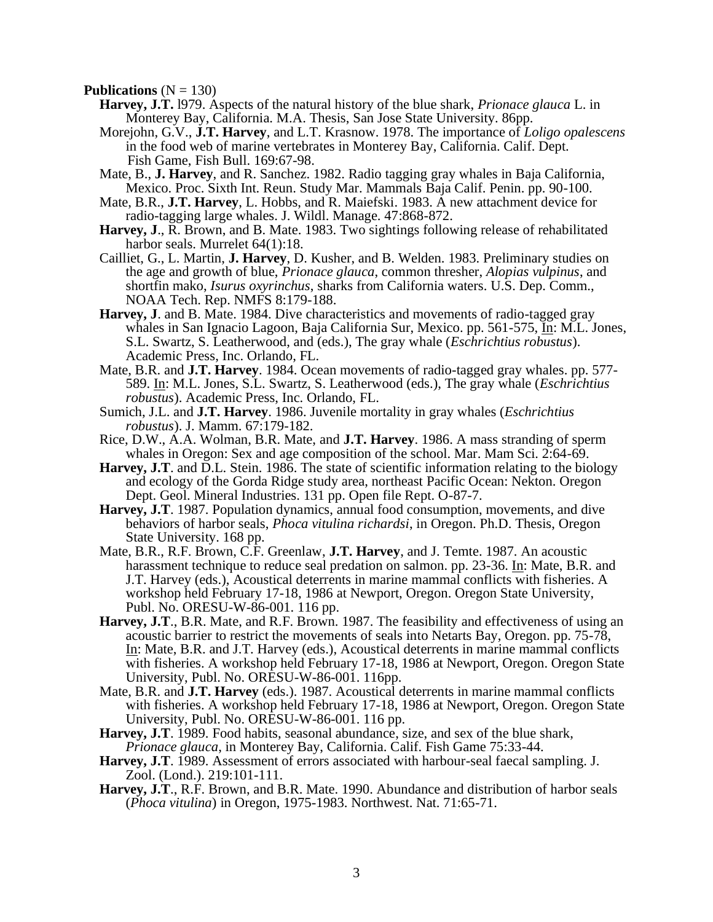**Publications**  $(N = 130)$ 

- **Harvey, J.T.** l979. Aspects of the natural history of the blue shark, *Prionace glauca* L. in Monterey Bay, California. M.A. Thesis, San Jose State University. 86pp.
- Morejohn, G.V., **J.T. Harvey**, and L.T. Krasnow. 1978. The importance of *Loligo opalescens* in the food web of marine vertebrates in Monterey Bay, California. Calif. Dept. Fish Game, Fish Bull. 169:67-98.
- Mate, B., **J. Harvey**, and R. Sanchez. 1982. Radio tagging gray whales in Baja California, Mexico. Proc. Sixth Int. Reun. Study Mar. Mammals Baja Calif. Penin. pp. 90-100.
- Mate, B.R., **J.T. Harvey**, L. Hobbs, and R. Maiefski. 1983. A new attachment device for radio-tagging large whales. J. Wildl. Manage. 47:868-872.
- **Harvey, J**., R. Brown, and B. Mate. 1983. Two sightings following release of rehabilitated harbor seals. Murrelet  $64(1):18$ .
- Cailliet, G., L. Martin, **J. Harvey**, D. Kusher, and B. Welden. 1983. Preliminary studies on the age and growth of blue, *Prionace glauca*, common thresher, *Alopias vulpinus*, and shortfin mako, *Isurus oxyrinchus*, sharks from California waters. U.S. Dep. Comm., NOAA Tech. Rep. NMFS 8:179-188.
- **Harvey, J**. and B. Mate. 1984. Dive characteristics and movements of radio-tagged gray whales in San Ignacio Lagoon, Baja California Sur, Mexico. pp. 561-575, In: M.L. Jones, S.L. Swartz, S. Leatherwood, and (eds.), The gray whale (*Eschrichtius robustus*). Academic Press, Inc. Orlando, FL.
- Mate, B.R. and **J.T. Harvey**. 1984. Ocean movements of radio-tagged gray whales. pp. 577- 589. In: M.L. Jones, S.L. Swartz, S. Leatherwood (eds.), The gray whale (*Eschrichtius robustus*). Academic Press, Inc. Orlando, FL.
- Sumich, J.L. and **J.T. Harvey**. 1986. Juvenile mortality in gray whales (*Eschrichtius robustus*). J. Mamm. 67:179-182.
- Rice, D.W., A.A. Wolman, B.R. Mate, and **J.T. Harvey**. 1986. A mass stranding of sperm whales in Oregon: Sex and age composition of the school. Mar. Mam Sci. 2:64-69.
- **Harvey, J.T**. and D.L. Stein. 1986. The state of scientific information relating to the biology and ecology of the Gorda Ridge study area, northeast Pacific Ocean: Nekton. Oregon Dept. Geol. Mineral Industries. 131 pp. Open file Rept. O-87-7.
- **Harvey, J.T**. 1987. Population dynamics, annual food consumption, movements, and dive behaviors of harbor seals, *Phoca vitulina richardsi*, in Oregon. Ph.D. Thesis, Oregon State University. 168 pp.
- Mate, B.R., R.F. Brown, C.F. Greenlaw, **J.T. Harvey**, and J. Temte. 1987. An acoustic harassment technique to reduce seal predation on salmon. pp. 23-36. In: Mate, B.R. and J.T. Harvey (eds.), Acoustical deterrents in marine mammal conflicts with fisheries. A workshop held February 17-18, 1986 at Newport, Oregon. Oregon State University, Publ. No. ORESU-W-86-001. 116 pp.
- **Harvey, J.T**., B.R. Mate, and R.F. Brown. 1987. The feasibility and effectiveness of using an acoustic barrier to restrict the movements of seals into Netarts Bay, Oregon. pp. 75-78, In: Mate, B.R. and J.T. Harvey (eds.), Acoustical deterrents in marine mammal conflicts with fisheries. A workshop held February 17-18, 1986 at Newport, Oregon. Oregon State University, Publ. No. ORESU-W-86-001. 116pp.
- Mate, B.R. and **J.T. Harvey** (eds.). 1987. Acoustical deterrents in marine mammal conflicts with fisheries. A workshop held February 17-18, 1986 at Newport, Oregon. Oregon State University, Publ. No. ORESU-W-86-001. 116 pp.
- **Harvey, J.T**. 1989. Food habits, seasonal abundance, size, and sex of the blue shark, *Prionace glauca*, in Monterey Bay, California. Calif. Fish Game 75:33-44.
- **Harvey, J.T**. 1989. Assessment of errors associated with harbour-seal faecal sampling. J. Zool. (Lond.). 219:101-111.
- **Harvey, J.T**., R.F. Brown, and B.R. Mate. 1990. Abundance and distribution of harbor seals (*Phoca vitulina*) in Oregon, 1975-1983. Northwest. Nat. 71:65-71.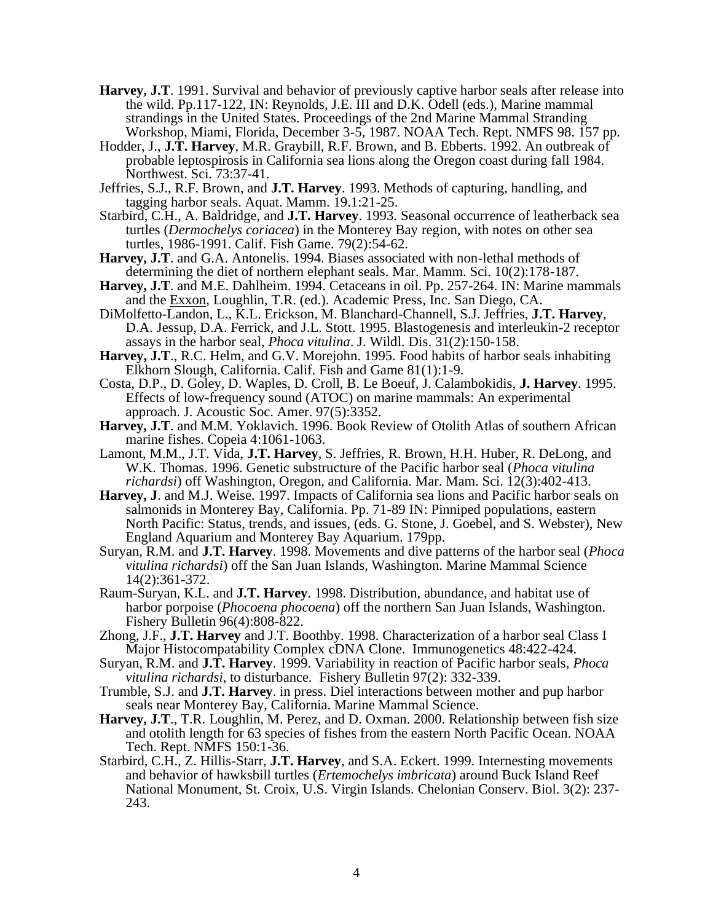- **Harvey, J.T**. 1991. Survival and behavior of previously captive harbor seals after release into the wild. Pp.117-122, IN: Reynolds, J.E. III and D.K. Odell (eds.), Marine mammal strandings in the United States. Proceedings of the 2nd Marine Mammal Stranding Workshop, Miami, Florida, December 3-5, 1987. NOAA Tech. Rept. NMFS 98. 157 pp.
- Hodder, J., **J.T. Harvey**, M.R. Graybill, R.F. Brown, and B. Ebberts. 1992. An outbreak of probable leptospirosis in California sea lions along the Oregon coast during fall 1984. Northwest. Sci. 73:37-41.
- Jeffries, S.J., R.F. Brown, and **J.T. Harvey**. 1993. Methods of capturing, handling, and tagging harbor seals. Aquat. Mamm. 19.1:21-25.
- Starbird, C.H., A. Baldridge, and **J.T. Harvey**. 1993. Seasonal occurrence of leatherback sea turtles (*Dermochelys coriacea*) in the Monterey Bay region, with notes on other sea turtles, 1986-1991. Calif. Fish Game. 79(2):54-62.
- **Harvey, J.T**. and G.A. Antonelis. 1994. Biases associated with non-lethal methods of determining the diet of northern elephant seals. Mar. Mamm. Sci. 10(2):178-187.
- **Harvey, J.T**. and M.E. Dahlheim. 1994. Cetaceans in oil. Pp. 257-264. IN: Marine mammals and the Exxon, Loughlin, T.R. (ed.). Academic Press, Inc. San Diego, CA.
- DiMolfetto-Landon, L., K.L. Erickson, M. Blanchard-Channell, S.J. Jeffries, **J.T. Harvey**, D.A. Jessup, D.A. Ferrick, and J.L. Stott. 1995. Blastogenesis and interleukin-2 receptor assays in the harbor seal, *Phoca vitulina*. J. Wildl. Dis. 31(2):150-158.
- **Harvey, J.T**., R.C. Helm, and G.V. Morejohn. 1995. Food habits of harbor seals inhabiting Elkhorn Slough, California. Calif. Fish and Game 81(1):1-9.
- Costa, D.P., D. Goley, D. Waples, D. Croll, B. Le Boeuf, J. Calambokidis, **J. Harvey**. 1995. Effects of low-frequency sound (ATOC) on marine mammals: An experimental approach. J. Acoustic Soc. Amer. 97(5):3352.
- **Harvey, J.T**. and M.M. Yoklavich. 1996. Book Review of Otolith Atlas of southern African marine fishes. Copeia 4:1061-1063.
- Lamont, M.M., J.T. Vida, **J.T. Harvey**, S. Jeffries, R. Brown, H.H. Huber, R. DeLong, and W.K. Thomas. 1996. Genetic substructure of the Pacific harbor seal (*Phoca vitulina richardsi*) off Washington, Oregon, and California. Mar. Mam. Sci. 12(3):402-413.
- **Harvey, J**. and M.J. Weise. 1997. Impacts of California sea lions and Pacific harbor seals on salmonids in Monterey Bay, California. Pp. 71-89 IN: Pinniped populations, eastern North Pacific: Status, trends, and issues, (eds. G. Stone, J. Goebel, and S. Webster), New England Aquarium and Monterey Bay Aquarium. 179pp.
- Suryan, R.M. and **J.T. Harvey**. 1998. Movements and dive patterns of the harbor seal (*Phoca vitulina richardsi*) off the San Juan Islands, Washington. Marine Mammal Science 14(2):361-372.
- Raum-Suryan, K.L. and **J.T. Harvey**. 1998. Distribution, abundance, and habitat use of harbor porpoise (*Phocoena phocoena*) off the northern San Juan Islands, Washington. Fishery Bulletin 96(4):808-822.
- Zhong, J.F., **J.T. Harvey** and J.T. Boothby. 1998. Characterization of a harbor seal Class I Major Histocompatability Complex cDNA Clone. Immunogenetics 48:422-424.
- Suryan, R.M. and **J.T. Harvey**. 1999. Variability in reaction of Pacific harbor seals, *Phoca vitulina richardsi*, to disturbance. Fishery Bulletin 97(2): 332-339.
- Trumble, S.J. and **J.T. Harvey**. in press. Diel interactions between mother and pup harbor seals near Monterey Bay, California. Marine Mammal Science.
- **Harvey, J.T**., T.R. Loughlin, M. Perez, and D. Oxman. 2000. Relationship between fish size and otolith length for 63 species of fishes from the eastern North Pacific Ocean. NOAA Tech. Rept. NMFS 150:1-36.
- Starbird, C.H., Z. Hillis-Starr, **J.T. Harvey**, and S.A. Eckert. 1999. Internesting movements and behavior of hawksbill turtles (*Ertemochelys imbricata*) around Buck Island Reef National Monument, St. Croix, U.S. Virgin Islands. Chelonian Conserv. Biol. 3(2): 237- 243.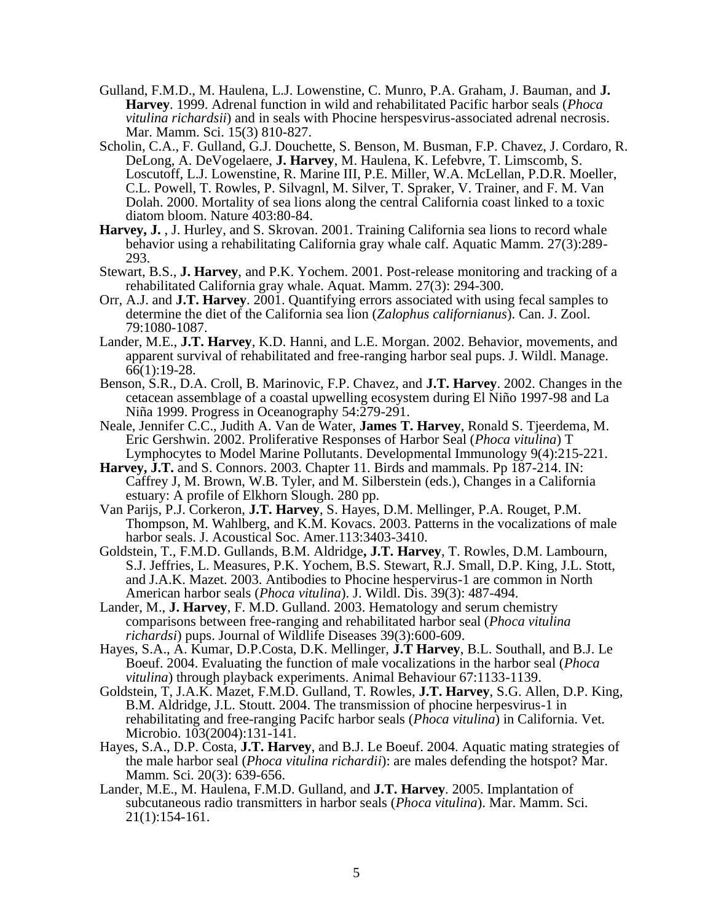- Gulland, F.M.D., M. Haulena, L.J. Lowenstine, C. Munro, P.A. Graham, J. Bauman, and **J. Harvey**. 1999. Adrenal function in wild and rehabilitated Pacific harbor seals (*Phoca vitulina richardsii*) and in seals with Phocine herspesvirus-associated adrenal necrosis. Mar. Mamm. Sci. 15(3) 810-827.
- Scholin, C.A., F. Gulland, G.J. Douchette, S. Benson, M. Busman, F.P. Chavez, J. Cordaro, R. DeLong, A. DeVogelaere, **J. Harvey**, M. Haulena, K. Lefebvre, T. Limscomb, S. Loscutoff, L.J. Lowenstine, R. Marine III, P.E. Miller, W.A. McLellan, P.D.R. Moeller, C.L. Powell, T. Rowles, P. Silvagnl, M. Silver, T. Spraker, V. Trainer, and F. M. Van Dolah. 2000. Mortality of sea lions along the central California coast linked to a toxic diatom bloom. Nature 403:80-84.
- Harvey, J., J. Hurley, and S. Skrovan. 2001. Training California sea lions to record whale behavior using a rehabilitating California gray whale calf. Aquatic Mamm. 27(3):289- 293.
- Stewart, B.S., **J. Harvey**, and P.K. Yochem. 2001. Post-release monitoring and tracking of a rehabilitated California gray whale. Aquat. Mamm. 27(3): 294-300.
- Orr, A.J. and **J.T. Harvey**. 2001. Quantifying errors associated with using fecal samples to determine the diet of the California sea lion (*Zalophus californianus*). Can. J. Zool. 79:1080-1087.
- Lander, M.E., **J.T. Harvey**, K.D. Hanni, and L.E. Morgan. 2002. Behavior, movements, and apparent survival of rehabilitated and free-ranging harbor seal pups. J. Wildl. Manage. 66(1):19-28.
- Benson, S.R., D.A. Croll, B. Marinovic, F.P. Chavez, and **J.T. Harvey**. 2002. Changes in the cetacean assemblage of a coastal upwelling ecosystem during El Niño 1997-98 and La Niña 1999. Progress in Oceanography 54:279-291.
- Neale, Jennifer C.C., Judith A. Van de Water, **James T. Harvey**, Ronald S. Tjeerdema, M. Eric Gershwin. 2002. Proliferative Responses of Harbor Seal (*Phoca vitulina*) T Lymphocytes to Model Marine Pollutants. Developmental Immunology 9(4):215-221.
- **Harvey, J.T.** and S. Connors. 2003. Chapter 11. Birds and mammals. Pp 187-214. IN: Caffrey J, M. Brown, W.B. Tyler, and M. Silberstein (eds.), Changes in a California estuary: A profile of Elkhorn Slough. 280 pp.
- Van Parijs, P.J. Corkeron, **J.T. Harvey**, S. Hayes, D.M. Mellinger, P.A. Rouget, P.M. Thompson, M. Wahlberg, and K.M. Kovacs. 2003. Patterns in the vocalizations of male harbor seals. J. Acoustical Soc. Amer.113:3403-3410.
- Goldstein, T., F.M.D. Gullands, B.M. Aldridge**, J.T. Harvey**, T. Rowles, D.M. Lambourn, S.J. Jeffries, L. Measures, P.K. Yochem, B.S. Stewart, R.J. Small, D.P. King, J.L. Stott, and J.A.K. Mazet. 2003. Antibodies to Phocine hespervirus-1 are common in North American harbor seals (*Phoca vitulina*). J. Wildl. Dis. 39(3): 487-494.
- Lander, M., **J. Harvey**, F. M.D. Gulland. 2003. Hematology and serum chemistry comparisons between free-ranging and rehabilitated harbor seal (*Phoca vitulina richardsi*) pups. Journal of Wildlife Diseases 39(3):600-609.
- Hayes, S.A., A. Kumar, D.P.Costa, D.K. Mellinger, **J.T Harvey**, B.L. Southall, and B.J. Le Boeuf. 2004. Evaluating the function of male vocalizations in the harbor seal (*Phoca vitulina*) through playback experiments. Animal Behaviour 67:1133-1139.
- Goldstein, T, J.A.K. Mazet, F.M.D. Gulland, T. Rowles, **J.T. Harvey**, S.G. Allen, D.P. King, B.M. Aldridge, J.L. Stoutt. 2004. The transmission of phocine herpesvirus-1 in rehabilitating and free-ranging Pacifc harbor seals (*Phoca vitulina*) in California. Vet. Microbio. 103(2004):131-141.
- Hayes, S.A., D.P. Costa, **J.T. Harvey**, and B.J. Le Boeuf. 2004. Aquatic mating strategies of the male harbor seal (*Phoca vitulina richardii*): are males defending the hotspot? Mar. Mamm. Sci. 20(3): 639-656.
- Lander, M.E., M. Haulena, F.M.D. Gulland, and **J.T. Harvey**. 2005. Implantation of subcutaneous radio transmitters in harbor seals (*Phoca vitulina*). Mar. Mamm. Sci. 21(1):154-161.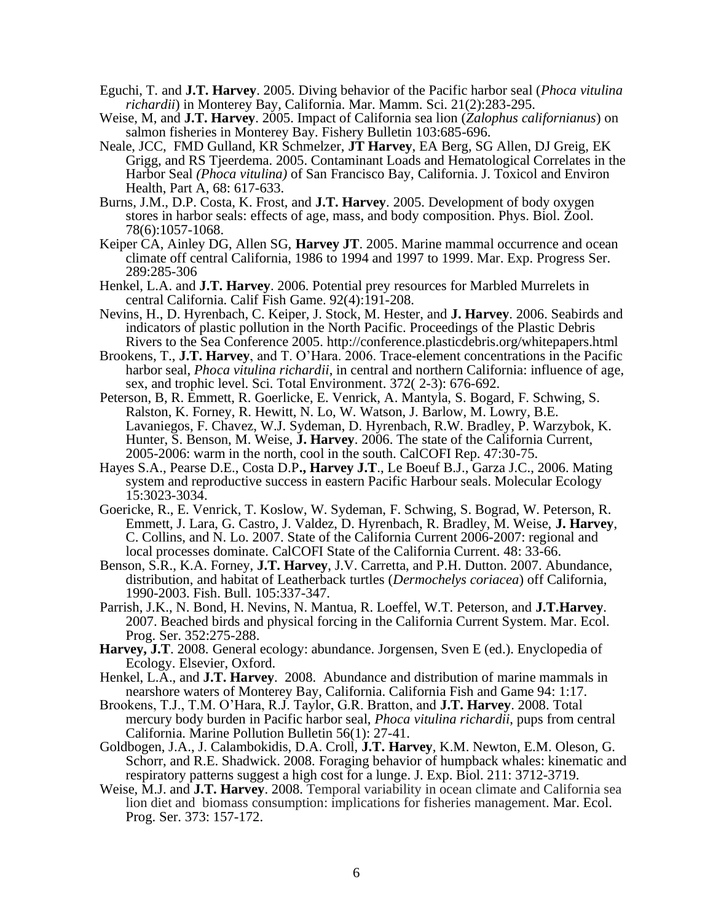- Eguchi, T. and **J.T. Harvey**. 2005. Diving behavior of the Pacific harbor seal (*Phoca vitulina richardii*) in Monterey Bay, California. Mar. Mamm. Sci. 21(2):283-295.
- Weise, M, and **J.T. Harvey**. 2005. Impact of California sea lion (*Zalophus californianus*) on salmon fisheries in Monterey Bay. Fishery Bulletin 103:685-696.
- Neale, JCC, FMD Gulland, KR Schmelzer, **JT Harvey**, EA Berg, SG Allen, DJ Greig, EK Grigg, and RS Tjeerdema. 2005. Contaminant Loads and Hematological Correlates in the Harbor Seal *(Phoca vitulina)* of San Francisco Bay, California. J. Toxicol and Environ Health, Part A, 68: 617-633.
- Burns, J.M., D.P. Costa, K. Frost, and **J.T. Harvey**. 2005. Development of body oxygen stores in harbor seals: effects of age, mass, and body composition. Phys. Biol. Zool. 78(6):1057-1068.
- Keiper CA, Ainley DG, Allen SG, **Harvey JT**. 2005. Marine mammal occurrence and ocean climate off central California, 1986 to 1994 and 1997 to 1999. Mar. Exp. Progress Ser. 289:285-306
- Henkel, L.A. and **J.T. Harvey**. 2006. Potential prey resources for Marbled Murrelets in central California. Calif Fish Game. 92(4):191-208.
- Nevins, H., D. Hyrenbach, C. Keiper, J. Stock, M. Hester, and **J. Harvey**. 2006. Seabirds and indicators of plastic pollution in the North Pacific. Proceedings of the Plastic Debris Rivers to the Sea Conference 2005. http://conference.plasticdebris.org/whitepapers.html
- Brookens, T., **J.T. Harvey**, and T. O'Hara. 2006. Trace-element concentrations in the Pacific harbor seal, *Phoca vitulina richardii*, in central and northern California: influence of age, sex, and trophic level. Sci. Total Environment. 372( 2-3): 676-692.
- Peterson, B, R. Emmett, R. Goerlicke, E. Venrick, A. Mantyla, S. Bogard, F. Schwing, S. Ralston, K. Forney, R. Hewitt, N. Lo, W. Watson, J. Barlow, M. Lowry, B.E. Lavaniegos, F. Chavez, W.J. Sydeman, D. Hyrenbach, R.W. Bradley, P. Warzybok, K. Hunter, S. Benson, M. Weise, **J. Harvey**. 2006. The state of the California Current, 2005-2006: warm in the north, cool in the south. CalCOFI Rep. 47:30-75.
- Hayes S.A., Pearse D.E., Costa D.P**., Harvey J.T**., Le Boeuf B.J., Garza J.C., 2006. Mating system and reproductive success in eastern Pacific Harbour seals. Molecular Ecology 15:3023-3034.
- Goericke, R., E. Venrick, T. Koslow, W. Sydeman, F. Schwing, S. Bograd, W. Peterson, R. Emmett, J. Lara, G. Castro, J. Valdez, D. Hyrenbach, R. Bradley, M. Weise, **J. Harvey**, C. Collins, and N. Lo. 2007. State of the California Current 2006-2007: regional and local processes dominate. CalCOFI State of the California Current. 48: 33-66.
- Benson, S.R., K.A. Forney, **J.T. Harvey**, J.V. Carretta, and P.H. Dutton. 2007. Abundance, distribution, and habitat of Leatherback turtles (*Dermochelys coriacea*) off California, 1990-2003. Fish. Bull. 105:337-347.
- Parrish, J.K., N. Bond, H. Nevins, N. Mantua, R. Loeffel, W.T. Peterson, and **J.T.Harvey**. 2007. Beached birds and physical forcing in the California Current System. Mar. Ecol. Prog. Ser. 352:275-288.
- **Harvey, J.T**. 2008. General ecology: abundance. Jorgensen, Sven E (ed.). Enyclopedia of Ecology. Elsevier, Oxford.
- Henkel, L.A., and **J.T. Harvey**. 2008. Abundance and distribution of marine mammals in nearshore waters of Monterey Bay, California. California Fish and Game 94: 1:17.
- Brookens, T.J., T.M. O'Hara, R.J. Taylor, G.R. Bratton, and **J.T. Harvey**. 2008. Total mercury body burden in Pacific harbor seal, *Phoca vitulina richardii*, pups from central California. Marine Pollution Bulletin 56(1): 27-41.
- Goldbogen, J.A., J. Calambokidis, D.A. Croll, **J.T. Harvey**, K.M. Newton, E.M. Oleson, G. Schorr, and R.E. Shadwick. 2008. Foraging behavior of humpback whales: kinematic and respiratory patterns suggest a high cost for a lunge. J. Exp. Biol. 211: 3712-3719.
- Weise, M.J. and **J.T. Harvey**. 2008. Temporal variability in ocean climate and California sea lion diet and biomass consumption: implications for fisheries management. Mar. Ecol. Prog. Ser. 373: 157-172.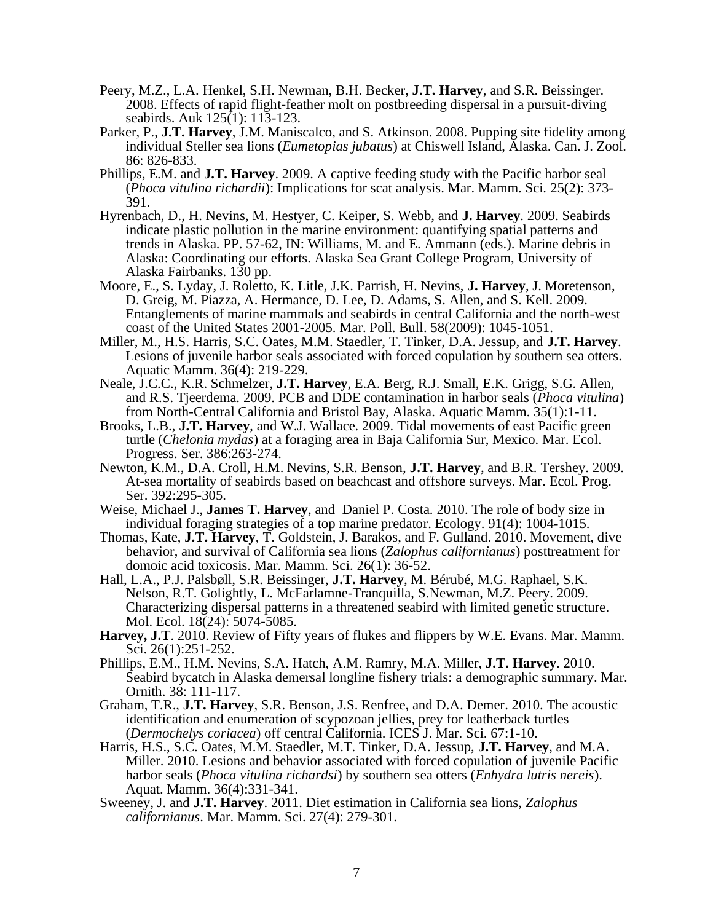- Peery, M.Z., L.A. Henkel, S.H. Newman, B.H. Becker, **J.T. Harvey**, and S.R. Beissinger. 2008. Effects of rapid flight-feather molt on postbreeding dispersal in a pursuit-diving seabirds. Auk 125(1): 113-123.
- Parker, P., **J.T. Harvey**, J.M. Maniscalco, and S. Atkinson. 2008. Pupping site fidelity among individual Steller sea lions (*Eumetopias jubatus*) at Chiswell Island, Alaska. Can. J. Zool. 86: 826-833.
- Phillips, E.M. and **J.T. Harvey**. 2009. A captive feeding study with the Pacific harbor seal (*Phoca vitulina richardii*): Implications for scat analysis. Mar. Mamm. Sci. 25(2): 373- 391.
- Hyrenbach, D., H. Nevins, M. Hestyer, C. Keiper, S. Webb, and **J. Harvey**. 2009. Seabirds indicate plastic pollution in the marine environment: quantifying spatial patterns and trends in Alaska. PP. 57-62, IN: Williams, M. and E. Ammann (eds.). Marine debris in Alaska: Coordinating our efforts. Alaska Sea Grant College Program, University of Alaska Fairbanks. 130 pp.
- Moore, E., S. Lyday, J. Roletto, K. Litle, J.K. Parrish, H. Nevins, **J. Harvey**, J. Moretenson, D. Greig, M. Piazza, A. Hermance, D. Lee, D. Adams, S. Allen, and S. Kell. 2009. Entanglements of marine mammals and seabirds in central California and the north-west coast of the United States 2001-2005. Mar. Poll. Bull. 58(2009): 1045-1051.
- Miller, M., H.S. Harris, S.C. Oates, M.M. Staedler, T. Tinker, D.A. Jessup, and **J.T. Harvey**. Lesions of juvenile harbor seals associated with forced copulation by southern sea otters. Aquatic Mamm. 36(4): 219-229.
- Neale, J.C.C., K.R. Schmelzer, **J.T. Harvey**, E.A. Berg, R.J. Small, E.K. Grigg, S.G. Allen, and R.S. Tjeerdema. 2009. PCB and DDE contamination in harbor seals (*Phoca vitulina*) from North-Central California and Bristol Bay, Alaska. Aquatic Mamm. 35(1):1-11.
- Brooks, L.B., **J.T. Harvey**, and W.J. Wallace. 2009. Tidal movements of east Pacific green turtle (*Chelonia mydas*) at a foraging area in Baja California Sur, Mexico. Mar. Ecol. Progress. Ser. 386:263-274.
- Newton, K.M., D.A. Croll, H.M. Nevins, S.R. Benson, **J.T. Harvey**, and B.R. Tershey. 2009. At-sea mortality of seabirds based on beachcast and offshore surveys. Mar. Ecol. Prog. Ser. 392:295-305.
- Weise, Michael J., **James T. Harvey**, and Daniel P. Costa. 2010. The role of body size in individual foraging strategies of a top marine predator. Ecology. 91(4): 1004-1015.
- Thomas, Kate, **J.T. Harvey**, T. Goldstein, J. Barakos, and F. Gulland. 2010. Movement, dive behavior, and survival of California sea lions (*Zalophus californianus*) posttreatment for domoic acid toxicosis. Mar. Mamm. Sci. 26(1): 36-52.
- Hall, L.A., P.J. Palsbøll, S.R. Beissinger, **J.T. Harvey**, M. Bérubé, M.G. Raphael, S.K. Nelson, R.T. Golightly, L. McFarlamne-Tranquilla, S.Newman, M.Z. Peery. 2009. Characterizing dispersal patterns in a threatened seabird with limited genetic structure. Mol. Ecol. 18(24): 5074-5085.
- **Harvey, J.T**. 2010. Review of Fifty years of flukes and flippers by W.E. Evans. Mar. Mamm. Sci. 26(1):251-252.
- Phillips, E.M., H.M. Nevins, S.A. Hatch, A.M. Ramry, M.A. Miller, **J.T. Harvey**. 2010. Seabird bycatch in Alaska demersal longline fishery trials: a demographic summary. Mar. Ornith. 38: 111-117.
- Graham, T.R., **J.T. Harvey**, S.R. Benson, J.S. Renfree, and D.A. Demer. 2010. The acoustic identification and enumeration of scypozoan jellies, prey for leatherback turtles (*Dermochelys coriacea*) off central California. ICES J. Mar. Sci. 67:1-10.
- Harris, H.S., S.C. Oates, M.M. Staedler, M.T. Tinker, D.A. Jessup, **J.T. Harvey**, and M.A. Miller. 2010. Lesions and behavior associated with forced copulation of juvenile Pacific harbor seals (*Phoca vitulina richardsi*) by southern sea otters (*Enhydra lutris nereis*). Aquat. Mamm. 36(4):331-341.
- Sweeney, J. and **J.T. Harvey**. 2011. Diet estimation in California sea lions, *Zalophus californianus*. Mar. Mamm. Sci. 27(4): 279-301.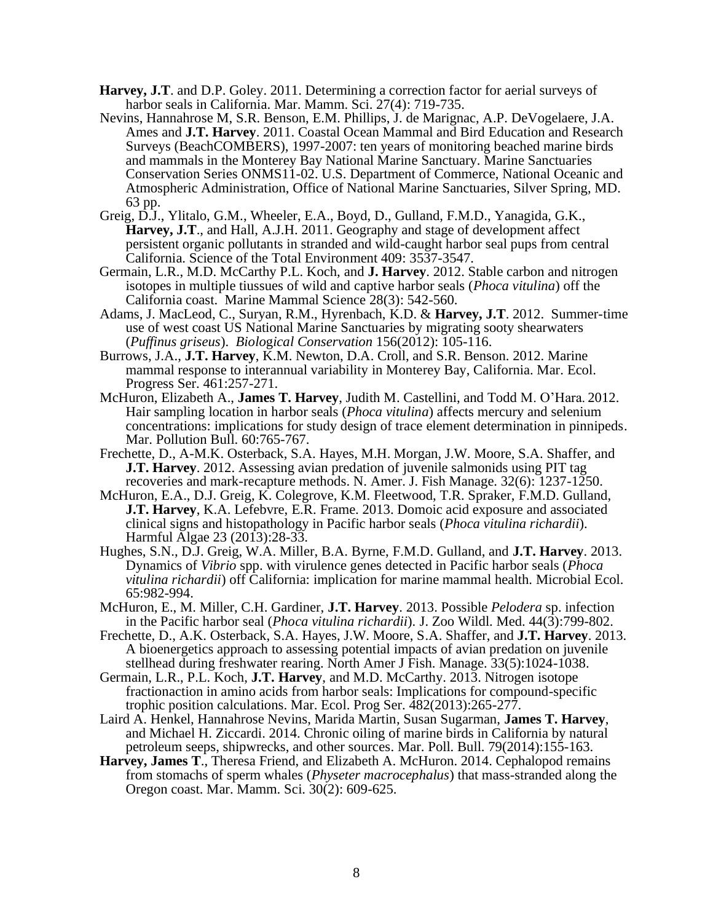- **Harvey, J.T**. and D.P. Goley. 2011. Determining a correction factor for aerial surveys of harbor seals in California. Mar. Mamm. Sci. 27(4): 719-735.
- Nevins, Hannahrose M, S.R. Benson, E.M. Phillips, J. de Marignac, A.P. DeVogelaere, J.A. Ames and **J.T. Harvey**. 2011. Coastal Ocean Mammal and Bird Education and Research Surveys (BeachCOMBERS), 1997-2007: ten years of monitoring beached marine birds and mammals in the Monterey Bay National Marine Sanctuary. Marine Sanctuaries Conservation Series ONMS11-02. U.S. Department of Commerce, National Oceanic and Atmospheric Administration, Office of National Marine Sanctuaries, Silver Spring, MD. 63 pp.
- Greig, D.J., Ylitalo, G.M., Wheeler, E.A., Boyd, D., Gulland, F.M.D., Yanagida, G.K., **Harvey, J.T**., and Hall, A.J.H. 2011. Geography and stage of development affect persistent organic pollutants in stranded and wild-caught harbor seal pups from central California. Science of the Total Environment 409: 3537-3547.
- Germain, L.R., M.D. McCarthy P.L. Koch, and **J. Harvey**. 2012. Stable carbon and nitrogen isotopes in multiple tiussues of wild and captive harbor seals (*Phoca vitulina*) off the California coast. Marine Mammal Science 28(3): 542-560.
- Adams, J. MacLeod, C., Suryan, R.M., Hyrenbach, K.D. & **Harvey, J.T**. 2012. Summer-time use of west coast US National Marine Sanctuaries by migrating sooty shearwaters (*Puffinus griseus*). *Biolo*g*ical Conservation* 156(2012): 105-116.
- Burrows, J.A., **J.T. Harvey**, K.M. Newton, D.A. Croll, and S.R. Benson. 2012. Marine mammal response to interannual variability in Monterey Bay, California. Mar. Ecol. Progress Ser. 461:257-271.
- McHuron, Elizabeth A., **James T. Harvey**, Judith M. Castellini, and Todd M. O'Hara. 2012. Hair sampling location in harbor seals (*Phoca vitulina*) affects mercury and selenium concentrations: implications for study design of trace element determination in pinnipeds. Mar. Pollution Bull. 60:765-767.
- Frechette, D., A-M.K. Osterback, S.A. Hayes, M.H. Morgan, J.W. Moore, S.A. Shaffer, and **J.T. Harvey**. 2012. Assessing avian predation of juvenile salmonids using PIT tag recoveries and mark-recapture methods. N. Amer. J. Fish Manage. 32(6): 1237-1250.
- McHuron, E.A., D.J. Greig, K. Colegrove, K.M. Fleetwood, T.R. Spraker, F.M.D. Gulland, **J.T. Harvey**, K.A. Lefebvre, E.R. Frame. 2013. Domoic acid exposure and associated clinical signs and histopathology in Pacific harbor seals (*Phoca vitulina richardii*). Harmful Algae 23 (2013):28-33.
- Hughes, S.N., D.J. Greig, W.A. Miller, B.A. Byrne, F.M.D. Gulland, and **J.T. Harvey**. 2013. Dynamics of *Vibrio* spp. with virulence genes detected in Pacific harbor seals (*Phoca vitulina richardii*) off California: implication for marine mammal health. Microbial Ecol. 65:982-994.
- McHuron, E., M. Miller, C.H. Gardiner, **J.T. Harvey**. 2013. Possible *Pelodera* sp. infection in the Pacific harbor seal (*Phoca vitulina richardii*). J. Zoo Wildl. Med. 44(3):799-802.
- Frechette, D., A.K. Osterback, S.A. Hayes, J.W. Moore, S.A. Shaffer, and **J.T. Harvey**. 2013. A bioenergetics approach to assessing potential impacts of avian predation on juvenile stellhead during freshwater rearing. North Amer J Fish. Manage. 33(5):1024-1038.
- Germain, L.R., P.L. Koch, **J.T. Harvey**, and M.D. McCarthy. 2013. Nitrogen isotope fractionaction in amino acids from harbor seals: Implications for compound-specific trophic position calculations. Mar. Ecol. Prog Ser. 482(2013):265-277.
- Laird A. Henkel, Hannahrose Nevins, Marida Martin, Susan Sugarman, **James T. Harvey**, and Michael H. Ziccardi. 2014. Chronic oiling of marine birds in California by natural petroleum seeps, shipwrecks, and other sources. Mar. Poll. Bull. 79(2014):155-163.
- **Harvey, James T**., Theresa Friend, and Elizabeth A. McHuron. 2014. Cephalopod remains from stomachs of sperm whales (*Physeter macrocephalus*) that mass-stranded along the Oregon coast. Mar. Mamm. Sci. 30(2): 609-625.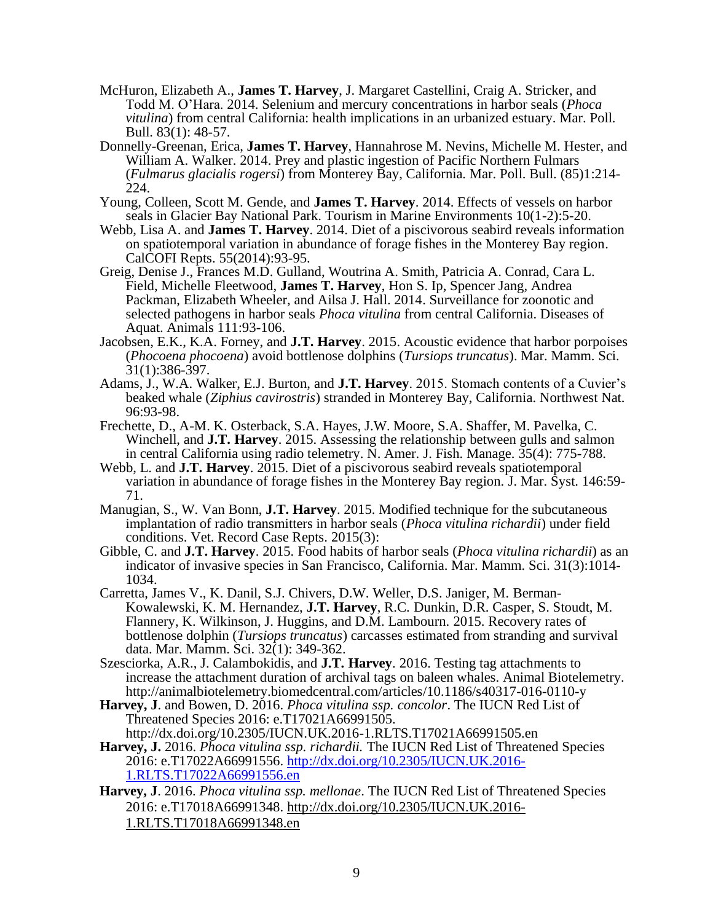- McHuron, Elizabeth A., **James T. Harvey**, J. Margaret Castellini, Craig A. Stricker, and Todd M. O'Hara. 2014. Selenium and mercury concentrations in harbor seals (*Phoca vitulina*) from central California: health implications in an urbanized estuary. Mar. Poll. Bull. 83(1): 48-57.
- Donnelly-Greenan, Erica, **James T. Harvey**, Hannahrose M. Nevins, Michelle M. Hester, and William A. Walker. 2014. Prey and plastic ingestion of Pacific Northern Fulmars (*Fulmarus glacialis rogersi*) from Monterey Bay, California. Mar. Poll. Bull. (85)1:214- 224.
- Young, Colleen, Scott M. Gende, and **James T. Harvey**. 2014. Effects of vessels on harbor seals in Glacier Bay National Park. Tourism in Marine Environments 10(1-2):5-20.
- Webb, Lisa A. and **James T. Harvey**. 2014. Diet of a piscivorous seabird reveals information on spatiotemporal variation in abundance of forage fishes in the Monterey Bay region. CalCOFI Repts. 55(2014):93-95.
- Greig, Denise J., Frances M.D. Gulland, Woutrina A. Smith, Patricia A. Conrad, Cara L. Field, Michelle Fleetwood, **James T. Harvey**, Hon S. Ip, Spencer Jang, Andrea Packman, Elizabeth Wheeler, and Ailsa J. Hall. 2014. Surveillance for zoonotic and selected pathogens in harbor seals *Phoca vitulina* from central California. Diseases of Aquat. Animals 111:93-106.
- Jacobsen, E.K., K.A. Forney, and **J.T. Harvey**. 2015. Acoustic evidence that harbor porpoises (*Phocoena phocoena*) avoid bottlenose dolphins (*Tursiops truncatus*). Mar. Mamm. Sci. 31(1):386-397.
- Adams, J., W.A. Walker, E.J. Burton, and **J.T. Harvey**. 2015. Stomach contents of a Cuvier's beaked whale (*Ziphius cavirostris*) stranded in Monterey Bay, California. Northwest Nat. 96:93-98.
- Frechette, D., A-M. K. Osterback, S.A. Hayes, J.W. Moore, S.A. Shaffer, M. Pavelka, C. Winchell, and **J.T. Harvey**. 2015. Assessing the relationship between gulls and salmon in central California using radio telemetry. N. Amer. J. Fish. Manage. 35(4): 775-788.
- Webb, L. and **J.T. Harvey**. 2015. Diet of a piscivorous seabird reveals spatiotemporal variation in abundance of forage fishes in the Monterey Bay region. J. Mar. Syst. 146:59- 71.
- Manugian, S., W. Van Bonn, **J.T. Harvey**. 2015. Modified technique for the subcutaneous implantation of radio transmitters in harbor seals (*Phoca vitulina richardii*) under field conditions. Vet. Record Case Repts. 2015(3):
- Gibble, C. and **J.T. Harvey**. 2015. Food habits of harbor seals (*Phoca vitulina richardii*) as an indicator of invasive species in San Francisco, California. Mar. Mamm. Sci. 31(3):1014- 1034.
- Carretta, James V., K. Danil, S.J. Chivers, D.W. Weller, D.S. Janiger, M. Berman-Kowalewski, K. M. Hernandez, **J.T. Harvey**, R.C. Dunkin, D.R. Casper, S. Stoudt, M. Flannery, K. Wilkinson, J. Huggins, and D.M. Lambourn. 2015. Recovery rates of bottlenose dolphin (*Tursiops truncatus*) carcasses estimated from stranding and survival data. Mar. Mamm. Sci. 32(1): 349-362.
- Szesciorka, A.R., J. Calambokidis, and **J.T. Harvey**. 2016. Testing tag attachments to increase the attachment duration of archival tags on baleen whales. Animal Biotelemetry. http://animalbiotelemetry.biomedcentral.com/articles/10.1186/s40317-016-0110-y
- **Harvey, J**. and Bowen, D. 2016. *Phoca vitulina ssp. concolor*. The IUCN Red List of Threatened Species 2016: e.T17021A66991505.
- http://dx.doi.org/10.2305/IUCN.UK.2016-1.RLTS.T17021A66991505.en **Harvey, J.** 2016. *Phoca vitulina ssp. richardii.* The IUCN Red List of Threatened Species 2016: e.T17022A66991556. [http://dx.doi.org/10.2305/IUCN.UK.2016-](http://dx.doi.org/10.2305/IUCN.UK.2016-1.RLTS.T17022A66991556.en) [1.RLTS.T17022A66991556.en](http://dx.doi.org/10.2305/IUCN.UK.2016-1.RLTS.T17022A66991556.en)
- **Harvey, J**. 2016. *Phoca vitulina ssp. mellonae*. The IUCN Red List of Threatened Species 2016: e.T17018A66991348. [http://dx.doi.org/10.2305/IUCN.UK.2016-](http://dx.doi.org/10.2305/IUCN.UK.2016-1.RLTS.T17018A66991348.en) [1.RLTS.T17018A66991348.en](http://dx.doi.org/10.2305/IUCN.UK.2016-1.RLTS.T17018A66991348.en)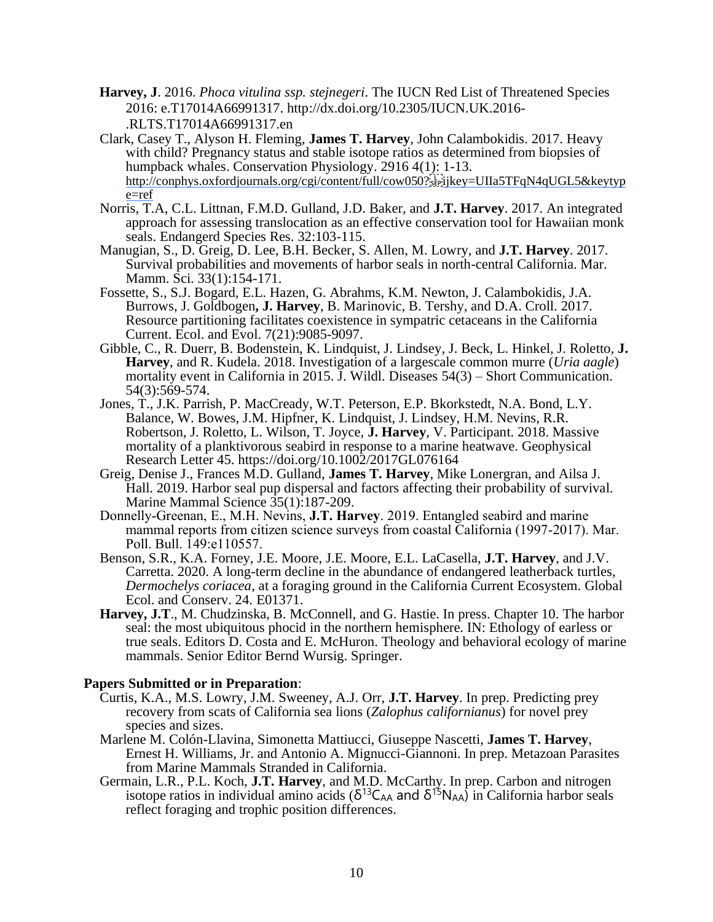- **Harvey, J**. 2016. *Phoca vitulina ssp. stejnegeri*. The IUCN Red List of Threatened Species 2016: e.T17014A66991317. http://dx.doi.org/10.2305/IUCN.UK.2016- .RLTS.T17014A66991317.en
- Clark, Casey T., Alyson H. Fleming, **James T. Harvey**, John Calambokidis. 2017. Heavy with child? Pregnancy status and stable isotope ratios as determined from biopsies of humpback whales. Conservation Physiology. 2916 4(1): 1-13. http://conphys.oxfordjournals.org/cgi/content/full/cow050?:st-ijkey=UIIa5TFqN4qUGL5&keytyp [e=ref](http://conphys.oxfordjournals.org/cgi/content/full/cow050?ijkey=UIIa5TFqN4qUGL5&keytype=ref)
- Norris, T.A, C.L. Littnan, F.M.D. Gulland, J.D. Baker, and **J.T. Harvey**. 2017. An integrated approach for assessing translocation as an effective conservation tool for Hawaiian monk seals. Endangerd Species Res. 32:103-115.
- Manugian, S., D. Greig, D. Lee, B.H. Becker, S. Allen, M. Lowry, and **J.T. Harvey**. 2017. Survival probabilities and movements of harbor seals in north-central California. Mar. Mamm. Sci. 33(1):154-171.
- Fossette, S., S.J. Bogard, E.L. Hazen, G. Abrahms, K.M. Newton, J. Calambokidis, J.A. Burrows, J. Goldbogen**, J. Harvey**, B. Marinovic, B. Tershy, and D.A. Croll. 2017. Resource partitioning facilitates coexistence in sympatric cetaceans in the California Current. Ecol. and Evol. 7(21):9085-9097.
- Gibble, C., R. Duerr, B. Bodenstein, K. Lindquist, J. Lindsey, J. Beck, L. Hinkel, J. Roletto, **J. Harvey**, and R. Kudela. 2018. Investigation of a largescale common murre (*Uria aagle*) mortality event in California in 2015. J. Wildl. Diseases 54(3) – Short Communication. 54(3):569-574.
- Jones, T., J.K. Parrish, P. MacCready, W.T. Peterson, E.P. Bkorkstedt, N.A. Bond, L.Y. Balance, W. Bowes, J.M. Hipfner, K. Lindquist, J. Lindsey, H.M. Nevins, R.R. Robertson, J. Roletto, L. Wilson, T. Joyce, **J. Harvey**, V. Participant. 2018. Massive mortality of a planktivorous seabird in response to a marine heatwave. Geophysical Research Letter 45. https://doi.org/10.1002/2017GL076164
- Greig, Denise J., Frances M.D. Gulland, **James T. Harvey**, Mike Lonergran, and Ailsa J. Hall. 2019. Harbor seal pup dispersal and factors affecting their probability of survival. Marine Mammal Science 35(1):187-209.
- Donnelly-Greenan, E., M.H. Nevins, **J.T. Harvey**. 2019. Entangled seabird and marine mammal reports from citizen science surveys from coastal California (1997-2017). Mar. Poll. Bull. 149:e110557.
- Benson, S.R., K.A. Forney, J.E. Moore, J.E. Moore, E.L. LaCasella, **J.T. Harvey**, and J.V. Carretta. 2020. A long-term decline in the abundance of endangered leatherback turtles, *Dermochelys coriacea*, at a foraging ground in the California Current Ecosystem. Global Ecol. and Conserv. 24. E01371.
- **Harvey, J.T**., M. Chudzinska, B. McConnell, and G. Hastie. In press. Chapter 10. The harbor seal: the most ubiquitous phocid in the northern hemisphere. IN: Ethology of earless or true seals. Editors D. Costa and E. McHuron. Theology and behavioral ecology of marine mammals. Senior Editor Bernd Wursig. Springer.

### **Papers Submitted or in Preparation**:

- Curtis, K.A., M.S. Lowry, J.M. Sweeney, A.J. Orr, **J.T. Harvey**. In prep. Predicting prey recovery from scats of California sea lions (*Zalophus californianus*) for novel prey species and sizes.
- Marlene M. Colón-Llavina, Simonetta Mattiucci, Giuseppe Nascetti, **James T. Harvey**, Ernest H. Williams, Jr. and Antonio A. Mignucci-Giannoni. In prep. Metazoan Parasites from Marine Mammals Stranded in California.
- Germain, L.R., P.L. Koch, **J.T. Harvey**, and M.D. McCarthy. In prep. Carbon and nitrogen isotope ratios in individual amino acids ( $\delta^{13}C_{AA}$  and  $\delta^{15}N_{AA}$ ) in California harbor seals reflect foraging and trophic position differences.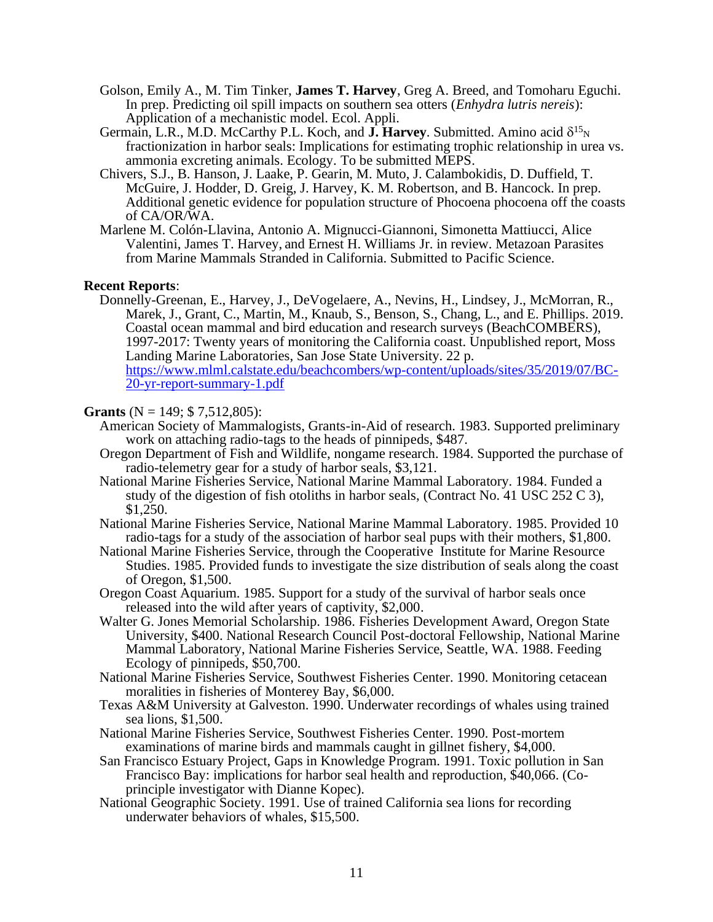- Golson, Emily A., M. Tim Tinker, **James T. Harvey**, Greg A. Breed, and Tomoharu Eguchi. In prep. Predicting oil spill impacts on southern sea otters (*Enhydra lutris nereis*): Application of a mechanistic model. Ecol. Appli.
- Germain, L.R., M.D. McCarthy P.L. Koch, and  $\mathbf{J}$ . Harvey. Submitted. Amino acid  $\delta^{15}$ <sub>N</sub> fractionization in harbor seals: Implications for estimating trophic relationship in urea vs. ammonia excreting animals. Ecology. To be submitted MEPS.
- Chivers, S.J., B. Hanson, J. Laake, P. Gearin, M. Muto, J. Calambokidis, D. Duffield, T. McGuire, J. Hodder, D. Greig, J. Harvey, K. M. Robertson, and B. Hancock. In prep. Additional genetic evidence for population structure of Phocoena phocoena off the coasts of CA/OR/WA.
- Marlene M. Colón-Llavina, Antonio A. Mignucci-Giannoni, Simonetta Mattiucci, Alice Valentini, James T. Harvey, and Ernest H. Williams Jr. in review. Metazoan Parasites from Marine Mammals Stranded in California. Submitted to Pacific Science.

### **Recent Reports**:

Donnelly-Greenan, E., Harvey, J., DeVogelaere, A., Nevins, H., Lindsey, J., McMorran, R., Marek, J., Grant, C., Martin, M., Knaub, S., Benson, S., Chang, L., and E. Phillips. 2019. Coastal ocean mammal and bird education and research surveys (BeachCOMBERS), 1997-2017: Twenty years of monitoring the California coast. Unpublished report, Moss Landing Marine Laboratories, San Jose State University. 22 p. [https://www.mlml.calstate.edu/beachcombers/wp-content/uploads/sites/35/2019/07/BC-](https://www.mlml.calstate.edu/beachcombers/wp-content/uploads/sites/35/2019/07/BC-20-yr-report-summary-1.pdf)[20-yr-report-summary-1.pdf](https://www.mlml.calstate.edu/beachcombers/wp-content/uploads/sites/35/2019/07/BC-20-yr-report-summary-1.pdf)

### **Grants** (N = 149; \$ 7,512,805):

- American Society of Mammalogists, Grants-in-Aid of research. 1983. Supported preliminary work on attaching radio-tags to the heads of pinnipeds, \$487.
- Oregon Department of Fish and Wildlife, nongame research. 1984. Supported the purchase of radio-telemetry gear for a study of harbor seals, \$3,121.
- National Marine Fisheries Service, National Marine Mammal Laboratory. 1984. Funded a study of the digestion of fish otoliths in harbor seals, (Contract No. 41 USC 252 C 3), \$1,250.
- National Marine Fisheries Service, National Marine Mammal Laboratory. 1985. Provided 10 radio-tags for a study of the association of harbor seal pups with their mothers, \$1,800.
- National Marine Fisheries Service, through the Cooperative Institute for Marine Resource Studies. 1985. Provided funds to investigate the size distribution of seals along the coast of Oregon, \$1,500.
- Oregon Coast Aquarium. 1985. Support for a study of the survival of harbor seals once released into the wild after years of captivity, \$2,000.
- Walter G. Jones Memorial Scholarship. 1986. Fisheries Development Award, Oregon State University, \$400. National Research Council Post-doctoral Fellowship, National Marine Mammal Laboratory, National Marine Fisheries Service, Seattle, WA. 1988. Feeding Ecology of pinnipeds, \$50,700.
- National Marine Fisheries Service, Southwest Fisheries Center. 1990. Monitoring cetacean moralities in fisheries of Monterey Bay, \$6,000.
- Texas A&M University at Galveston. 1990. Underwater recordings of whales using trained sea lions, \$1,500.
- National Marine Fisheries Service, Southwest Fisheries Center. 1990. Post-mortem examinations of marine birds and mammals caught in gillnet fishery, \$4,000.
- San Francisco Estuary Project, Gaps in Knowledge Program. 1991. Toxic pollution in San Francisco Bay: implications for harbor seal health and reproduction, \$40,066. (Coprinciple investigator with Dianne Kopec).
- National Geographic Society. 1991. Use of trained California sea lions for recording underwater behaviors of whales, \$15,500.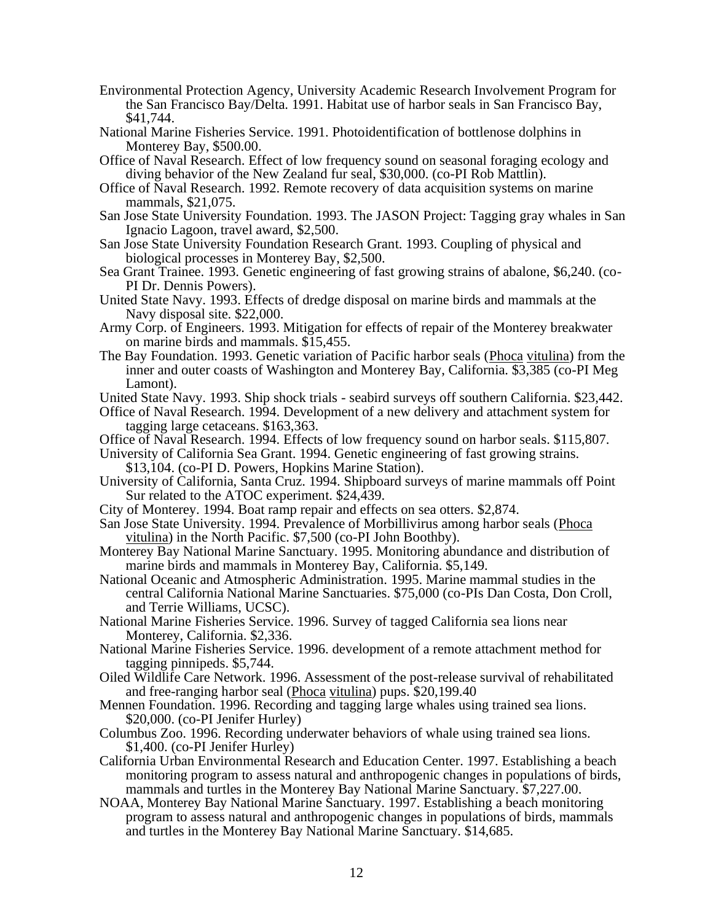- Environmental Protection Agency, University Academic Research Involvement Program for the San Francisco Bay/Delta. 1991. Habitat use of harbor seals in San Francisco Bay, \$41,744.
- National Marine Fisheries Service. 1991. Photoidentification of bottlenose dolphins in Monterey Bay, \$500.00.
- Office of Naval Research. Effect of low frequency sound on seasonal foraging ecology and diving behavior of the New Zealand fur seal, \$30,000. (co-PI Rob Mattlin).
- Office of Naval Research. 1992. Remote recovery of data acquisition systems on marine mammals, \$21,075.
- San Jose State University Foundation. 1993. The JASON Project: Tagging gray whales in San Ignacio Lagoon, travel award, \$2,500.
- San Jose State University Foundation Research Grant. 1993. Coupling of physical and biological processes in Monterey Bay, \$2,500.
- Sea Grant Trainee. 1993. Genetic engineering of fast growing strains of abalone, \$6,240. (co-PI Dr. Dennis Powers).
- United State Navy. 1993. Effects of dredge disposal on marine birds and mammals at the Navy disposal site. \$22,000.
- Army Corp. of Engineers. 1993. Mitigation for effects of repair of the Monterey breakwater on marine birds and mammals. \$15,455.
- The Bay Foundation. 1993. Genetic variation of Pacific harbor seals (Phoca vitulina) from the inner and outer coasts of Washington and Monterey Bay, California. \$3,385 (co-PI Meg Lamont).
- United State Navy. 1993. Ship shock trials seabird surveys off southern California. \$23,442.
- Office of Naval Research. 1994. Development of a new delivery and attachment system for tagging large cetaceans. \$163,363.
- Office of Naval Research. 1994. Effects of low frequency sound on harbor seals. \$115,807.

University of California Sea Grant. 1994. Genetic engineering of fast growing strains. \$13,104. (co-PI D. Powers, Hopkins Marine Station).

- University of California, Santa Cruz. 1994. Shipboard surveys of marine mammals off Point Sur related to the ATOC experiment. \$24,439.
- City of Monterey. 1994. Boat ramp repair and effects on sea otters. \$2,874.
- San Jose State University. 1994. Prevalence of Morbillivirus among harbor seals (Phoca vitulina) in the North Pacific. \$7,500 (co-PI John Boothby).
- Monterey Bay National Marine Sanctuary. 1995. Monitoring abundance and distribution of marine birds and mammals in Monterey Bay, California. \$5,149.
- National Oceanic and Atmospheric Administration. 1995. Marine mammal studies in the central California National Marine Sanctuaries. \$75,000 (co-PIs Dan Costa, Don Croll, and Terrie Williams, UCSC).
- National Marine Fisheries Service. 1996. Survey of tagged California sea lions near Monterey, California. \$2,336.
- National Marine Fisheries Service. 1996. development of a remote attachment method for tagging pinnipeds. \$5,744.
- Oiled Wildlife Care Network. 1996. Assessment of the post-release survival of rehabilitated and free-ranging harbor seal (Phoca vitulina) pups. \$20,199.40
- Mennen Foundation. 1996. Recording and tagging large whales using trained sea lions. \$20,000. (co-PI Jenifer Hurley)
- Columbus Zoo. 1996. Recording underwater behaviors of whale using trained sea lions. \$1,400. (co-PI Jenifer Hurley)
- California Urban Environmental Research and Education Center. 1997. Establishing a beach monitoring program to assess natural and anthropogenic changes in populations of birds, mammals and turtles in the Monterey Bay National Marine Sanctuary. \$7,227.00.
- NOAA, Monterey Bay National Marine Sanctuary. 1997. Establishing a beach monitoring program to assess natural and anthropogenic changes in populations of birds, mammals and turtles in the Monterey Bay National Marine Sanctuary. \$14,685.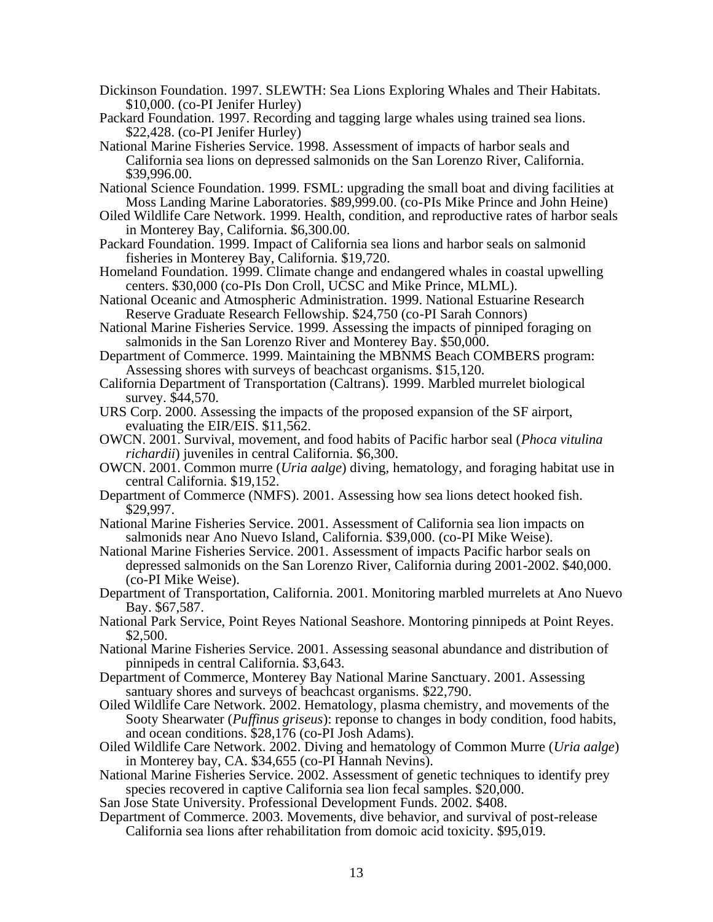- Dickinson Foundation. 1997. SLEWTH: Sea Lions Exploring Whales and Their Habitats. \$10,000. (co-PI Jenifer Hurley)
- Packard Foundation. 1997. Recording and tagging large whales using trained sea lions. \$22,428. (co-PI Jenifer Hurley)
- National Marine Fisheries Service. 1998. Assessment of impacts of harbor seals and California sea lions on depressed salmonids on the San Lorenzo River, California. \$39,996.00.
- National Science Foundation. 1999. FSML: upgrading the small boat and diving facilities at Moss Landing Marine Laboratories. \$89,999.00. (co-PIs Mike Prince and John Heine)
- Oiled Wildlife Care Network. 1999. Health, condition, and reproductive rates of harbor seals in Monterey Bay, California. \$6,300.00.
- Packard Foundation. 1999. Impact of California sea lions and harbor seals on salmonid fisheries in Monterey Bay, California. \$19,720.
- Homeland Foundation. 1999. Climate change and endangered whales in coastal upwelling centers. \$30,000 (co-PIs Don Croll, UCSC and Mike Prince, MLML).
- National Oceanic and Atmospheric Administration. 1999. National Estuarine Research Reserve Graduate Research Fellowship. \$24,750 (co-PI Sarah Connors)
- National Marine Fisheries Service. 1999. Assessing the impacts of pinniped foraging on salmonids in the San Lorenzo River and Monterey Bay. \$50,000.
- Department of Commerce. 1999. Maintaining the MBNMS Beach COMBERS program: Assessing shores with surveys of beachcast organisms. \$15,120.
- California Department of Transportation (Caltrans). 1999. Marbled murrelet biological survey. \$44,570.
- URS Corp. 2000. Assessing the impacts of the proposed expansion of the SF airport, evaluating the EIR/EIS. \$11,562.
- OWCN. 2001. Survival, movement, and food habits of Pacific harbor seal (*Phoca vitulina richardii*) juveniles in central California. \$6,300.
- OWCN. 2001. Common murre (*Uria aalge*) diving, hematology, and foraging habitat use in central California. \$19,152.
- Department of Commerce (NMFS). 2001. Assessing how sea lions detect hooked fish. \$29,997.
- National Marine Fisheries Service. 2001. Assessment of California sea lion impacts on salmonids near Ano Nuevo Island, California. \$39,000. (co-PI Mike Weise).
- National Marine Fisheries Service. 2001. Assessment of impacts Pacific harbor seals on depressed salmonids on the San Lorenzo River, California during 2001-2002. \$40,000. (co-PI Mike Weise).
- Department of Transportation, California. 2001. Monitoring marbled murrelets at Ano Nuevo Bay. \$67,587.
- National Park Service, Point Reyes National Seashore. Montoring pinnipeds at Point Reyes. \$2,500.
- National Marine Fisheries Service. 2001. Assessing seasonal abundance and distribution of pinnipeds in central California. \$3,643.
- Department of Commerce, Monterey Bay National Marine Sanctuary. 2001. Assessing santuary shores and surveys of beachcast organisms. \$22,790.
- Oiled Wildlife Care Network. 2002. Hematology, plasma chemistry, and movements of the Sooty Shearwater (*Puffinus griseus*): reponse to changes in body condition, food habits, and ocean conditions. \$28,176 (co-PI Josh Adams).
- Oiled Wildlife Care Network. 2002. Diving and hematology of Common Murre (*Uria aalge*) in Monterey bay, CA. \$34,655 (co-PI Hannah Nevins).
- National Marine Fisheries Service. 2002. Assessment of genetic techniques to identify prey species recovered in captive California sea lion fecal samples. \$20,000.
- San Jose State University. Professional Development Funds. 2002. \$408.
- Department of Commerce. 2003. Movements, dive behavior, and survival of post-release California sea lions after rehabilitation from domoic acid toxicity. \$95,019.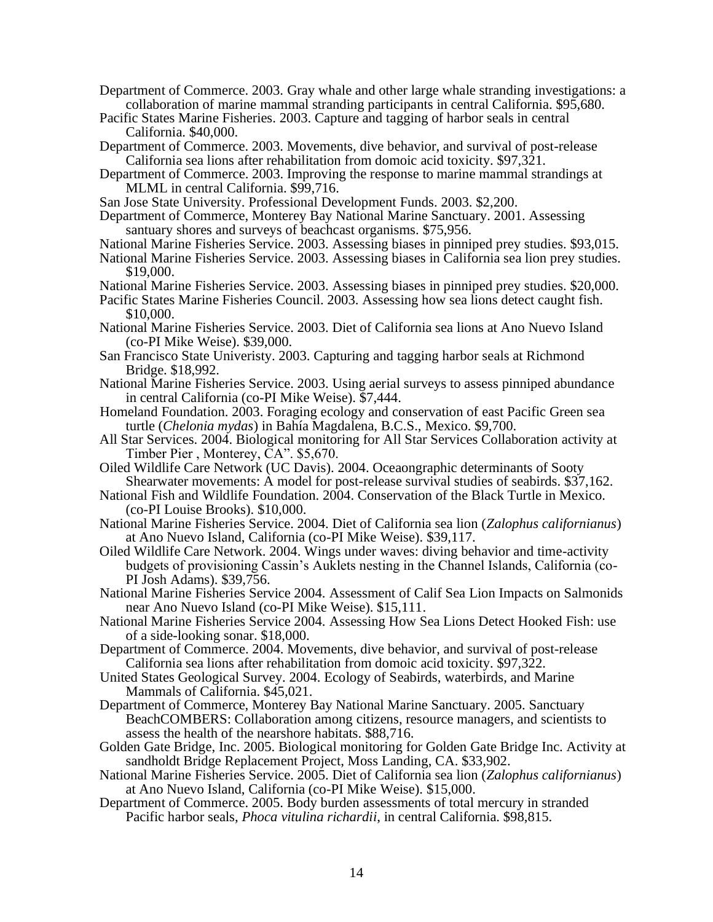- Department of Commerce. 2003. Gray whale and other large whale stranding investigations: a collaboration of marine mammal stranding participants in central California. \$95,680.
- Pacific States Marine Fisheries. 2003. Capture and tagging of harbor seals in central California. \$40,000.
- Department of Commerce. 2003. Movements, dive behavior, and survival of post-release California sea lions after rehabilitation from domoic acid toxicity. \$97,321.
- Department of Commerce. 2003. Improving the response to marine mammal strandings at MLML in central California. \$99,716.
- San Jose State University. Professional Development Funds. 2003. \$2,200.
- Department of Commerce, Monterey Bay National Marine Sanctuary. 2001. Assessing santuary shores and surveys of beachcast organisms. \$75,956.
- National Marine Fisheries Service. 2003. Assessing biases in pinniped prey studies. \$93,015.
- National Marine Fisheries Service. 2003. Assessing biases in California sea lion prey studies. \$19,000.
- National Marine Fisheries Service. 2003. Assessing biases in pinniped prey studies. \$20,000.

Pacific States Marine Fisheries Council. 2003. Assessing how sea lions detect caught fish. \$10,000.

- National Marine Fisheries Service. 2003. Diet of California sea lions at Ano Nuevo Island (co-PI Mike Weise). \$39,000.
- San Francisco State Univeristy. 2003. Capturing and tagging harbor seals at Richmond Bridge. \$18,992.
- National Marine Fisheries Service. 2003. Using aerial surveys to assess pinniped abundance in central California (co-PI Mike Weise). \$7,444.
- Homeland Foundation. 2003. Foraging ecology and conservation of east Pacific Green sea turtle (*Chelonia mydas*) in Bahía Magdalena, B.C.S., Mexico. \$9,700.
- All Star Services. 2004. Biological monitoring for All Star Services Collaboration activity at Timber Pier , Monterey, CA". \$5,670.
- Oiled Wildlife Care Network (UC Davis). 2004. Oceaongraphic determinants of Sooty Shearwater movements: A model for post-release survival studies of seabirds. \$37,162.
- National Fish and Wildlife Foundation. 2004. Conservation of the Black Turtle in Mexico. (co-PI Louise Brooks). \$10,000.
- National Marine Fisheries Service. 2004. Diet of California sea lion (*Zalophus californianus*) at Ano Nuevo Island, California (co-PI Mike Weise). \$39,117.
- Oiled Wildlife Care Network. 2004. Wings under waves: diving behavior and time-activity budgets of provisioning Cassin's Auklets nesting in the Channel Islands, California (co-PI Josh Adams). \$39,756.
- National Marine Fisheries Service 2004. Assessment of Calif Sea Lion Impacts on Salmonids near Ano Nuevo Island (co-PI Mike Weise). \$15,111.
- National Marine Fisheries Service 2004. Assessing How Sea Lions Detect Hooked Fish: use of a side-looking sonar. \$18,000.
- Department of Commerce. 2004. Movements, dive behavior, and survival of post-release California sea lions after rehabilitation from domoic acid toxicity. \$97,322.
- United States Geological Survey. 2004. Ecology of Seabirds, waterbirds, and Marine Mammals of California. \$45,021.
- Department of Commerce, Monterey Bay National Marine Sanctuary. 2005. Sanctuary BeachCOMBERS: Collaboration among citizens, resource managers, and scientists to assess the health of the nearshore habitats. \$88,716.
- Golden Gate Bridge, Inc. 2005. Biological monitoring for Golden Gate Bridge Inc. Activity at sandholdt Bridge Replacement Project, Moss Landing, CA. \$33,902.
- National Marine Fisheries Service. 2005. Diet of California sea lion (*Zalophus californianus*) at Ano Nuevo Island, California (co-PI Mike Weise). \$15,000.
- Department of Commerce. 2005. Body burden assessments of total mercury in stranded Pacific harbor seals, *Phoca vitulina richardii*, in central California. \$98,815.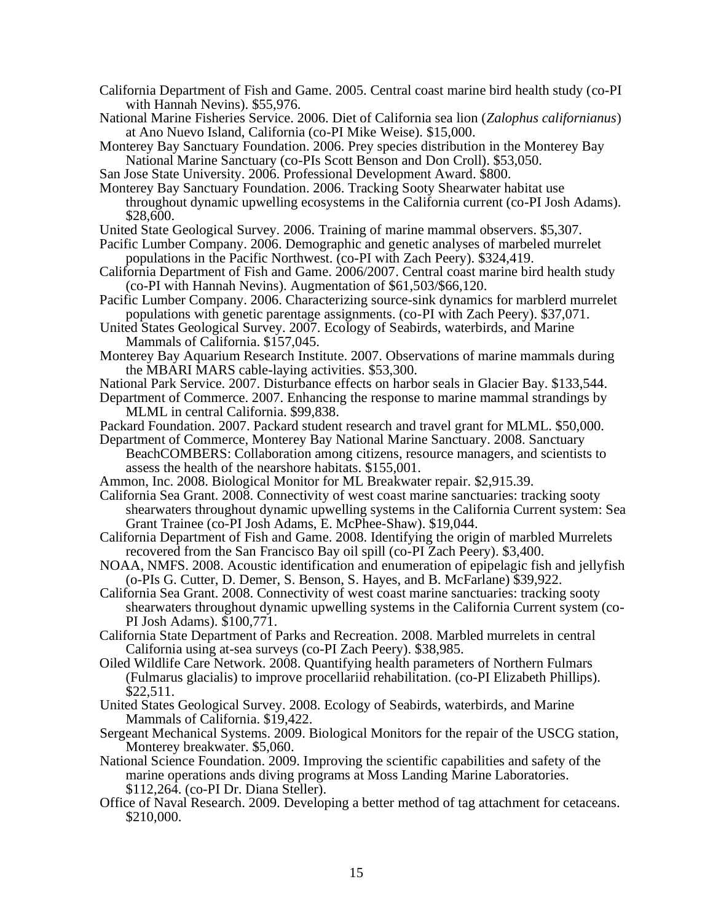- California Department of Fish and Game. 2005. Central coast marine bird health study (co-PI with Hannah Nevins). \$55,976.
- National Marine Fisheries Service. 2006. Diet of California sea lion (*Zalophus californianus*) at Ano Nuevo Island, California (co-PI Mike Weise). \$15,000.
- Monterey Bay Sanctuary Foundation. 2006. Prey species distribution in the Monterey Bay National Marine Sanctuary (co-PIs Scott Benson and Don Croll). \$53,050.
- San Jose State University. 2006. Professional Development Award. \$800.
- Monterey Bay Sanctuary Foundation. 2006. Tracking Sooty Shearwater habitat use throughout dynamic upwelling ecosystems in the California current (co-PI Josh Adams). \$28,600.
- United State Geological Survey. 2006. Training of marine mammal observers. \$5,307.
- Pacific Lumber Company. 2006. Demographic and genetic analyses of marbeled murrelet populations in the Pacific Northwest. (co-PI with Zach Peery). \$324,419.
- California Department of Fish and Game. 2006/2007. Central coast marine bird health study (co-PI with Hannah Nevins). Augmentation of \$61,503/\$66,120.
- Pacific Lumber Company. 2006. Characterizing source-sink dynamics for marblerd murrelet populations with genetic parentage assignments. (co-PI with Zach Peery). \$37,071.
- United States Geological Survey. 2007. Ecology of Seabirds, waterbirds, and Marine Mammals of California. \$157,045.
- Monterey Bay Aquarium Research Institute. 2007. Observations of marine mammals during the MBARI MARS cable-laying activities. \$53,300.
- National Park Service. 2007. Disturbance effects on harbor seals in Glacier Bay. \$133,544.
- Department of Commerce. 2007. Enhancing the response to marine mammal strandings by MLML in central California. \$99,838.
- Packard Foundation. 2007. Packard student research and travel grant for MLML. \$50,000.
- Department of Commerce, Monterey Bay National Marine Sanctuary. 2008. Sanctuary BeachCOMBERS: Collaboration among citizens, resource managers, and scientists to assess the health of the nearshore habitats. \$155,001.
- Ammon, Inc. 2008. Biological Monitor for ML Breakwater repair. \$2,915.39.
- California Sea Grant. 2008. Connectivity of west coast marine sanctuaries: tracking sooty shearwaters throughout dynamic upwelling systems in the California Current system: Sea Grant Trainee (co-PI Josh Adams, E. McPhee-Shaw). \$19,044.
- California Department of Fish and Game. 2008. Identifying the origin of marbled Murrelets recovered from the San Francisco Bay oil spill (co-PI Zach Peery). \$3,400.
- NOAA, NMFS. 2008. Acoustic identification and enumeration of epipelagic fish and jellyfish (o-PIs G. Cutter, D. Demer, S. Benson, S. Hayes, and B. McFarlane) \$39,922.
- California Sea Grant. 2008. Connectivity of west coast marine sanctuaries: tracking sooty shearwaters throughout dynamic upwelling systems in the California Current system (co-PI Josh Adams). \$100,771.
- California State Department of Parks and Recreation. 2008. Marbled murrelets in central California using at-sea surveys (co-PI Zach Peery). \$38,985.
- Oiled Wildlife Care Network. 2008. Quantifying health parameters of Northern Fulmars (Fulmarus glacialis) to improve procellariid rehabilitation. (co-PI Elizabeth Phillips). \$22,511.
- United States Geological Survey. 2008. Ecology of Seabirds, waterbirds, and Marine Mammals of California. \$19,422.
- Sergeant Mechanical Systems. 2009. Biological Monitors for the repair of the USCG station, Monterey breakwater. \$5,060.
- National Science Foundation. 2009. Improving the scientific capabilities and safety of the marine operations ands diving programs at Moss Landing Marine Laboratories. \$112,264. (co-PI Dr. Diana Steller).
- Office of Naval Research. 2009. Developing a better method of tag attachment for cetaceans. \$210,000.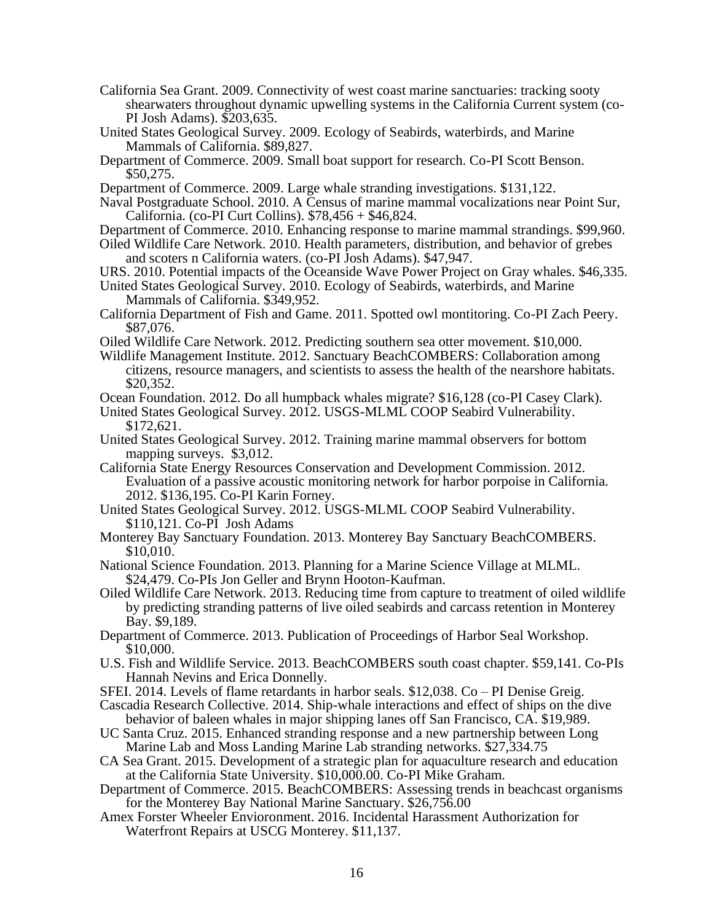- California Sea Grant. 2009. Connectivity of west coast marine sanctuaries: tracking sooty shearwaters throughout dynamic upwelling systems in the California Current system (co-PI Josh Adams). \$203,635.
- United States Geological Survey. 2009. Ecology of Seabirds, waterbirds, and Marine Mammals of California. \$89,827.
- Department of Commerce. 2009. Small boat support for research. Co-PI Scott Benson. \$50,275.
- Department of Commerce. 2009. Large whale stranding investigations. \$131,122.
- Naval Postgraduate School. 2010. A Census of marine mammal vocalizations near Point Sur, California. (co-PI Curt Collins). \$78,456 + \$46,824.
- Department of Commerce. 2010. Enhancing response to marine mammal strandings. \$99,960.
- Oiled Wildlife Care Network. 2010. Health parameters, distribution, and behavior of grebes and scoters n California waters. (co-PI Josh Adams). \$47,947.
- URS. 2010. Potential impacts of the Oceanside Wave Power Project on Gray whales. \$46,335.
- United States Geological Survey. 2010. Ecology of Seabirds, waterbirds, and Marine Mammals of California. \$349,952.
- California Department of Fish and Game. 2011. Spotted owl montitoring. Co-PI Zach Peery. \$87,076.
- Oiled Wildlife Care Network. 2012. Predicting southern sea otter movement. \$10,000.
- Wildlife Management Institute. 2012. Sanctuary BeachCOMBERS: Collaboration among citizens, resource managers, and scientists to assess the health of the nearshore habitats. \$20,352.
- Ocean Foundation. 2012. Do all humpback whales migrate? \$16,128 (co-PI Casey Clark).
- United States Geological Survey. 2012. USGS-MLML COOP Seabird Vulnerability. \$172,621.
- United States Geological Survey. 2012. Training marine mammal observers for bottom mapping surveys. \$3,012.
- California State Energy Resources Conservation and Development Commission. 2012. Evaluation of a passive acoustic monitoring network for harbor porpoise in California. 2012. \$136,195. Co-PI Karin Forney.
- United States Geological Survey. 2012. USGS-MLML COOP Seabird Vulnerability. \$110,121. Co-PI Josh Adams
- Monterey Bay Sanctuary Foundation. 2013. Monterey Bay Sanctuary BeachCOMBERS. \$10,010.
- National Science Foundation. 2013. Planning for a Marine Science Village at MLML. \$24,479. Co-PIs Jon Geller and Brynn Hooton-Kaufman.
- Oiled Wildlife Care Network. 2013. Reducing time from capture to treatment of oiled wildlife by predicting stranding patterns of live oiled seabirds and carcass retention in Monterey Bay. \$9,189.
- Department of Commerce. 2013. Publication of Proceedings of Harbor Seal Workshop. \$10,000.
- U.S. Fish and Wildlife Service. 2013. BeachCOMBERS south coast chapter. \$59,141. Co-PIs Hannah Nevins and Erica Donnelly.
- SFEI. 2014. Levels of flame retardants in harbor seals. \$12,038. Co PI Denise Greig.
- Cascadia Research Collective. 2014. Ship-whale interactions and effect of ships on the dive behavior of baleen whales in major shipping lanes off San Francisco, CA. \$19,989.
- UC Santa Cruz. 2015. Enhanced stranding response and a new partnership between Long Marine Lab and Moss Landing Marine Lab stranding networks. \$27,334.75
- CA Sea Grant. 2015. Development of a strategic plan for aquaculture research and education at the California State University. \$10,000.00. Co-PI Mike Graham.
- Department of Commerce. 2015. BeachCOMBERS: Assessing trends in beachcast organisms for the Monterey Bay National Marine Sanctuary. \$26,756.00
- Amex Forster Wheeler Envioronment. 2016. Incidental Harassment Authorization for Waterfront Repairs at USCG Monterey. \$11,137.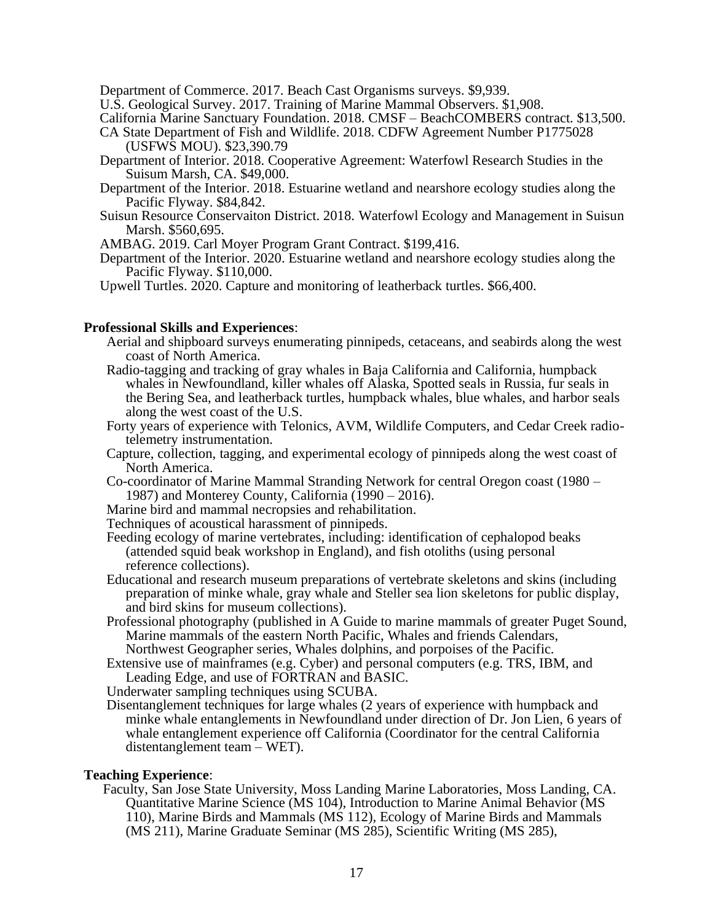Department of Commerce. 2017. Beach Cast Organisms surveys. \$9,939.

U.S. Geological Survey. 2017. Training of Marine Mammal Observers. \$1,908.

California Marine Sanctuary Foundation. 2018. CMSF – BeachCOMBERS contract. \$13,500.

- CA State Department of Fish and Wildlife. 2018. CDFW Agreement Number P1775028 (USFWS MOU). \$23,390.79
- Department of Interior. 2018. Cooperative Agreement: Waterfowl Research Studies in the Suisum Marsh, CA. \$49,000.
- Department of the Interior. 2018. Estuarine wetland and nearshore ecology studies along the Pacific Flyway. \$84,842.
- Suisun Resource Conservaiton District. 2018. Waterfowl Ecology and Management in Suisun Marsh. \$560,695.

AMBAG. 2019. Carl Moyer Program Grant Contract. \$199,416.

Department of the Interior. 2020. Estuarine wetland and nearshore ecology studies along the Pacific Flyway. \$110,000.

Upwell Turtles. 2020. Capture and monitoring of leatherback turtles. \$66,400.

### **Professional Skills and Experiences**:

- Aerial and shipboard surveys enumerating pinnipeds, cetaceans, and seabirds along the west coast of North America.
- Radio-tagging and tracking of gray whales in Baja California and California, humpback whales in Newfoundland, killer whales off Alaska, Spotted seals in Russia, fur seals in the Bering Sea, and leatherback turtles, humpback whales, blue whales, and harbor seals along the west coast of the U.S.
- Forty years of experience with Telonics, AVM, Wildlife Computers, and Cedar Creek radiotelemetry instrumentation.
- Capture, collection, tagging, and experimental ecology of pinnipeds along the west coast of North America.
- Co-coordinator of Marine Mammal Stranding Network for central Oregon coast (1980 1987) and Monterey County, California  $(1990 - 2016)$ .
- Marine bird and mammal necropsies and rehabilitation.
- Techniques of acoustical harassment of pinnipeds.
- Feeding ecology of marine vertebrates, including: identification of cephalopod beaks (attended squid beak workshop in England), and fish otoliths (using personal reference collections).
- Educational and research museum preparations of vertebrate skeletons and skins (including preparation of minke whale, gray whale and Steller sea lion skeletons for public display, and bird skins for museum collections).
- Professional photography (published in A Guide to marine mammals of greater Puget Sound, Marine mammals of the eastern North Pacific, Whales and friends Calendars, Northwest Geographer series, Whales dolphins, and porpoises of the Pacific.
- Extensive use of mainframes (e.g. Cyber) and personal computers (e.g. TRS, IBM, and Leading Edge, and use of FORTRAN and BASIC.

Underwater sampling techniques using SCUBA.

 Disentanglement techniques for large whales (2 years of experience with humpback and minke whale entanglements in Newfoundland under direction of Dr. Jon Lien, 6 years of whale entanglement experience off California (Coordinator for the central California distentanglement team – WET).

### **Teaching Experience**:

Faculty, San Jose State University, Moss Landing Marine Laboratories, Moss Landing, CA. Quantitative Marine Science (MS 104), Introduction to Marine Animal Behavior (MS 110), Marine Birds and Mammals (MS 112), Ecology of Marine Birds and Mammals (MS 211), Marine Graduate Seminar (MS 285), Scientific Writing (MS 285),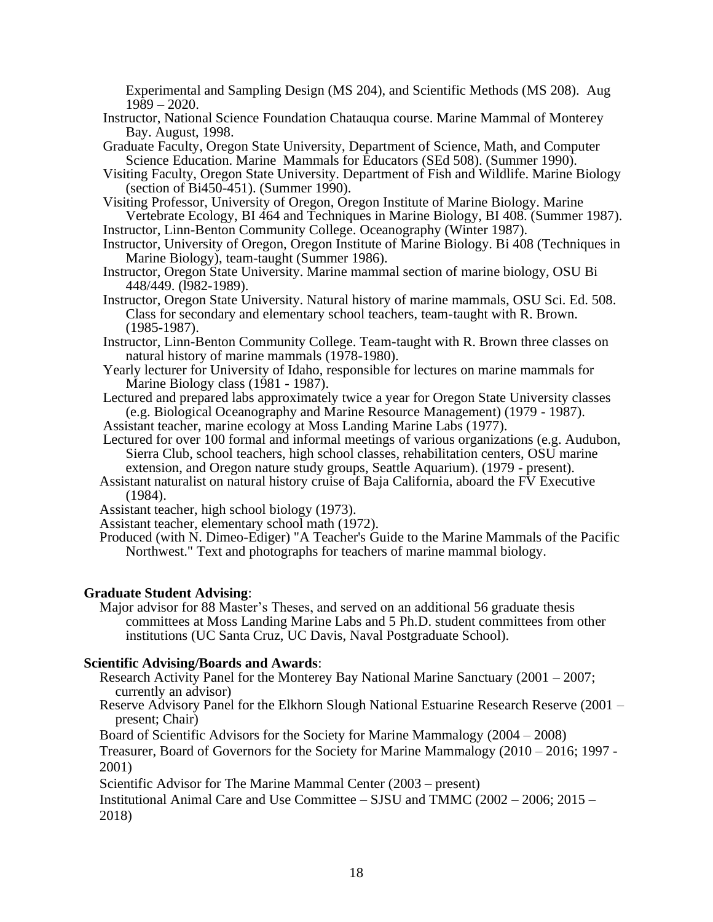Experimental and Sampling Design (MS 204), and Scientific Methods (MS 208). Aug 1989 – 2020.

- Instructor, National Science Foundation Chatauqua course. Marine Mammal of Monterey Bay. August, 1998.
- Graduate Faculty, Oregon State University, Department of Science, Math, and Computer Science Education. Marine Mammals for Educators (SEd 508). (Summer 1990).
- Visiting Faculty, Oregon State University. Department of Fish and Wildlife. Marine Biology (section of Bi450-451). (Summer 1990).
- Visiting Professor, University of Oregon, Oregon Institute of Marine Biology. Marine Vertebrate Ecology, BI 464 and Techniques in Marine Biology, BI 408. (Summer 1987).

Instructor, Linn-Benton Community College. Oceanography (Winter 1987).

- Instructor, University of Oregon, Oregon Institute of Marine Biology. Bi 408 (Techniques in Marine Biology), team-taught (Summer 1986).
- Instructor, Oregon State University. Marine mammal section of marine biology, OSU Bi 448/449. (l982-1989).
- Instructor, Oregon State University. Natural history of marine mammals, OSU Sci. Ed. 508. Class for secondary and elementary school teachers, team-taught with R. Brown. (1985-1987).
- Instructor, Linn-Benton Community College. Team-taught with R. Brown three classes on natural history of marine mammals (1978-1980).
- Yearly lecturer for University of Idaho, responsible for lectures on marine mammals for Marine Biology class (1981 - 1987).
- Lectured and prepared labs approximately twice a year for Oregon State University classes (e.g. Biological Oceanography and Marine Resource Management) (1979 - 1987).
- Assistant teacher, marine ecology at Moss Landing Marine Labs (1977).
- Lectured for over 100 formal and informal meetings of various organizations (e.g. Audubon, Sierra Club, school teachers, high school classes, rehabilitation centers, OSU marine extension, and Oregon nature study groups, Seattle Aquarium). (1979 - present).
- Assistant naturalist on natural history cruise of Baja California, aboard the FV Executive (1984).
- Assistant teacher, high school biology (1973).
- Assistant teacher, elementary school math (1972).
- Produced (with N. Dimeo-Ediger) "A Teacher's Guide to the Marine Mammals of the Pacific Northwest." Text and photographs for teachers of marine mammal biology.

## **Graduate Student Advising**:

Major advisor for 88 Master's Theses, and served on an additional 56 graduate thesis committees at Moss Landing Marine Labs and 5 Ph.D. student committees from other institutions (UC Santa Cruz, UC Davis, Naval Postgraduate School).

### **Scientific Advising/Boards and Awards**:

- Research Activity Panel for the Monterey Bay National Marine Sanctuary (2001 2007; currently an advisor)
- Reserve Advisory Panel for the Elkhorn Slough National Estuarine Research Reserve (2001 present; Chair)

Board of Scientific Advisors for the Society for Marine Mammalogy (2004 – 2008)

Treasurer, Board of Governors for the Society for Marine Mammalogy (2010 – 2016; 1997 - 2001)

Scientific Advisor for The Marine Mammal Center (2003 – present)

Institutional Animal Care and Use Committee – SJSU and TMMC (2002 – 2006; 2015 – 2018)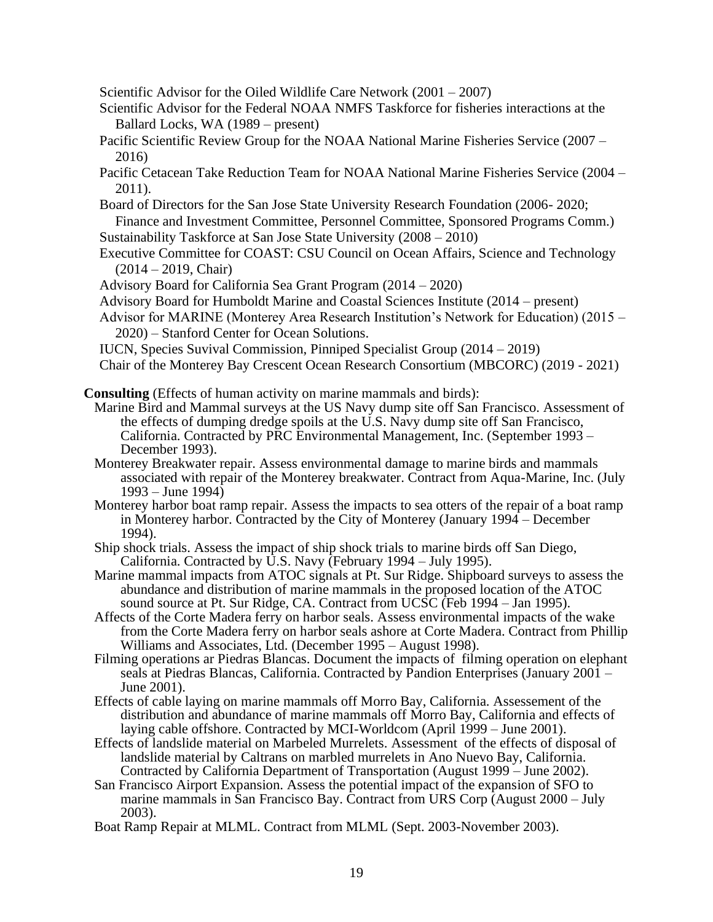Scientific Advisor for the Oiled Wildlife Care Network (2001 – 2007)

- Scientific Advisor for the Federal NOAA NMFS Taskforce for fisheries interactions at the Ballard Locks, WA (1989 – present)
- Pacific Scientific Review Group for the NOAA National Marine Fisheries Service (2007 2016)
- Pacific Cetacean Take Reduction Team for NOAA National Marine Fisheries Service (2004 2011).
- Board of Directors for the San Jose State University Research Foundation (2006- 2020; Finance and Investment Committee, Personnel Committee, Sponsored Programs Comm.)
- Sustainability Taskforce at San Jose State University (2008 2010)
- Executive Committee for COAST: CSU Council on Ocean Affairs, Science and Technology (2014 – 2019, Chair)
- Advisory Board for California Sea Grant Program (2014 2020)
- Advisory Board for Humboldt Marine and Coastal Sciences Institute (2014 present)
- Advisor for MARINE (Monterey Area Research Institution's Network for Education) (2015 2020) – Stanford Center for Ocean Solutions.
- IUCN, Species Suvival Commission, Pinniped Specialist Group (2014 2019)
- Chair of the Monterey Bay Crescent Ocean Research Consortium (MBCORC) (2019 2021)

**Consulting** (Effects of human activity on marine mammals and birds):

- Marine Bird and Mammal surveys at the US Navy dump site off San Francisco. Assessment of the effects of dumping dredge spoils at the U.S. Navy dump site off San Francisco, California. Contracted by PRC Environmental Management, Inc. (September 1993 – December 1993).
- Monterey Breakwater repair. Assess environmental damage to marine birds and mammals associated with repair of the Monterey breakwater. Contract from Aqua-Marine, Inc. (July 1993 – June 1994)
- Monterey harbor boat ramp repair. Assess the impacts to sea otters of the repair of a boat ramp in Monterey harbor. Contracted by the City of Monterey (January 1994 – December 1994).
- Ship shock trials. Assess the impact of ship shock trials to marine birds off San Diego, California. Contracted by U.S. Navy (February 1994 – July 1995).
- Marine mammal impacts from ATOC signals at Pt. Sur Ridge. Shipboard surveys to assess the abundance and distribution of marine mammals in the proposed location of the ATOC sound source at Pt. Sur Ridge, CA. Contract from UCSC (Feb 1994 – Jan 1995).
- Affects of the Corte Madera ferry on harbor seals. Assess environmental impacts of the wake from the Corte Madera ferry on harbor seals ashore at Corte Madera. Contract from Phillip Williams and Associates, Ltd. (December 1995 – August 1998).
- Filming operations ar Piedras Blancas. Document the impacts of filming operation on elephant seals at Piedras Blancas, California. Contracted by Pandion Enterprises (January 2001 – June 2001).
- Effects of cable laying on marine mammals off Morro Bay, California. Assessement of the distribution and abundance of marine mammals off Morro Bay, California and effects of laying cable offshore. Contracted by MCI-Worldcom (April 1999 – June 2001).
- Effects of landslide material on Marbeled Murrelets. Assessment of the effects of disposal of landslide material by Caltrans on marbled murrelets in Ano Nuevo Bay, California. Contracted by California Department of Transportation (August 1999 – June 2002).
- San Francisco Airport Expansion. Assess the potential impact of the expansion of SFO to marine mammals in San Francisco Bay. Contract from URS Corp (August 2000 – July 2003).
- Boat Ramp Repair at MLML. Contract from MLML (Sept. 2003-November 2003).